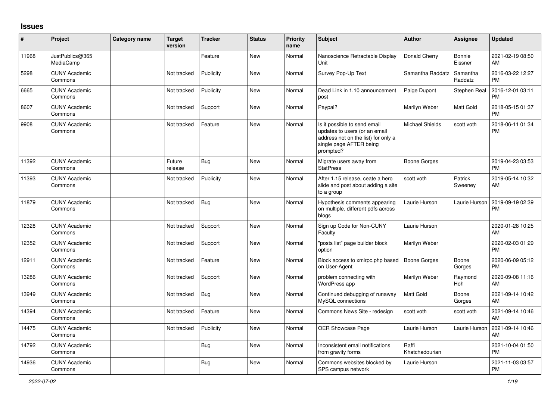## **Issues**

| ∦     | Project                         | <b>Category name</b> | <b>Target</b><br>version | <b>Tracker</b> | <b>Status</b> | <b>Priority</b><br>name | <b>Subject</b>                                                                                                                               | <b>Author</b>           | Assignee                 | <b>Updated</b>                |
|-------|---------------------------------|----------------------|--------------------------|----------------|---------------|-------------------------|----------------------------------------------------------------------------------------------------------------------------------------------|-------------------------|--------------------------|-------------------------------|
| 11968 | JustPublics@365<br>MediaCamp    |                      |                          | Feature        | <b>New</b>    | Normal                  | Nanoscience Retractable Display<br>Unit                                                                                                      | Donald Cherry           | <b>Bonnie</b><br>Eissner | 2021-02-19 08:50<br>AM        |
| 5298  | <b>CUNY Academic</b><br>Commons |                      | Not tracked              | Publicity      | <b>New</b>    | Normal                  | Survey Pop-Up Text                                                                                                                           | Samantha Raddatz        | Samantha<br>Raddatz      | 2016-03-22 12:27<br><b>PM</b> |
| 6665  | <b>CUNY Academic</b><br>Commons |                      | Not tracked              | Publicity      | <b>New</b>    | Normal                  | Dead Link in 1.10 announcement<br>post                                                                                                       | Paige Dupont            | Stephen Real             | 2016-12-01 03:11<br><b>PM</b> |
| 8607  | <b>CUNY Academic</b><br>Commons |                      | Not tracked              | Support        | <b>New</b>    | Normal                  | Paypal?                                                                                                                                      | Marilyn Weber           | Matt Gold                | 2018-05-15 01:37<br><b>PM</b> |
| 9908  | <b>CUNY Academic</b><br>Commons |                      | Not tracked              | Feature        | <b>New</b>    | Normal                  | Is it possible to send email<br>updates to users (or an email<br>address not on the list) for only a<br>single page AFTER being<br>prompted? | <b>Michael Shields</b>  | scott voth               | 2018-06-11 01:34<br><b>PM</b> |
| 11392 | <b>CUNY Academic</b><br>Commons |                      | Future<br>release        | Bug            | New           | Normal                  | Migrate users away from<br><b>StatPress</b>                                                                                                  | Boone Gorges            |                          | 2019-04-23 03:53<br><b>PM</b> |
| 11393 | <b>CUNY Academic</b><br>Commons |                      | Not tracked              | Publicity      | <b>New</b>    | Normal                  | After 1.15 release, ceate a hero<br>slide and post about adding a site<br>to a group                                                         | scott voth              | Patrick<br>Sweeney       | 2019-05-14 10:32<br>AM        |
| 11879 | <b>CUNY Academic</b><br>Commons |                      | Not tracked              | Bug            | <b>New</b>    | Normal                  | Hypothesis comments appearing<br>on multiple, different pdfs across<br>blogs                                                                 | Laurie Hurson           | Laurie Hurson            | 2019-09-19 02:39<br><b>PM</b> |
| 12328 | <b>CUNY Academic</b><br>Commons |                      | Not tracked              | Support        | <b>New</b>    | Normal                  | Sign up Code for Non-CUNY<br>Faculty                                                                                                         | Laurie Hurson           |                          | 2020-01-28 10:25<br>AM        |
| 12352 | <b>CUNY Academic</b><br>Commons |                      | Not tracked              | Support        | New           | Normal                  | "posts list" page builder block<br>option                                                                                                    | Marilyn Weber           |                          | 2020-02-03 01:29<br><b>PM</b> |
| 12911 | <b>CUNY Academic</b><br>Commons |                      | Not tracked              | Feature        | New           | Normal                  | Block access to xmlrpc.php based<br>on User-Agent                                                                                            | Boone Gorges            | Boone<br>Gorges          | 2020-06-09 05:12<br><b>PM</b> |
| 13286 | <b>CUNY Academic</b><br>Commons |                      | Not tracked              | Support        | <b>New</b>    | Normal                  | problem connecting with<br>WordPress app                                                                                                     | Marilyn Weber           | Raymond<br>Hoh           | 2020-09-08 11:16<br>AM        |
| 13949 | <b>CUNY Academic</b><br>Commons |                      | Not tracked              | Bug            | New           | Normal                  | Continued debugging of runaway<br>MySQL connections                                                                                          | Matt Gold               | Boone<br>Gorges          | 2021-09-14 10:42<br>AM        |
| 14394 | <b>CUNY Academic</b><br>Commons |                      | Not tracked              | Feature        | New           | Normal                  | Commons News Site - redesign                                                                                                                 | scott voth              | scott voth               | 2021-09-14 10:46<br>AM        |
| 14475 | <b>CUNY Academic</b><br>Commons |                      | Not tracked              | Publicity      | <b>New</b>    | Normal                  | OER Showcase Page                                                                                                                            | Laurie Hurson           | Laurie Hurson            | 2021-09-14 10:46<br>AM        |
| 14792 | <b>CUNY Academic</b><br>Commons |                      |                          | <b>Bug</b>     | New           | Normal                  | Inconsistent email notifications<br>from gravity forms                                                                                       | Raffi<br>Khatchadourian |                          | 2021-10-04 01:50<br><b>PM</b> |
| 14936 | <b>CUNY Academic</b><br>Commons |                      |                          | Bug            | <b>New</b>    | Normal                  | Commons websites blocked by<br>SPS campus network                                                                                            | Laurie Hurson           |                          | 2021-11-03 03:57<br><b>PM</b> |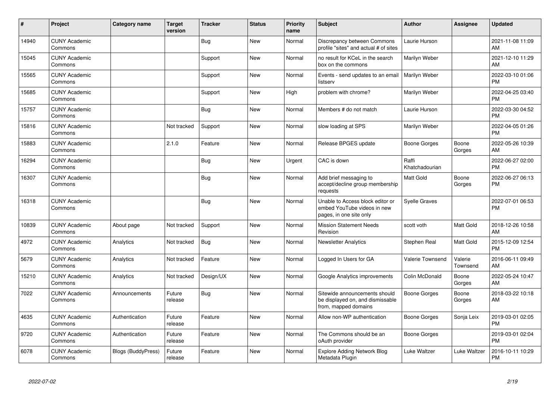| #     | Project                         | <b>Category name</b> | <b>Target</b><br>version | <b>Tracker</b> | <b>Status</b> | <b>Priority</b><br>name | <b>Subject</b>                                                                             | <b>Author</b>           | Assignee            | <b>Updated</b>                |
|-------|---------------------------------|----------------------|--------------------------|----------------|---------------|-------------------------|--------------------------------------------------------------------------------------------|-------------------------|---------------------|-------------------------------|
| 14940 | <b>CUNY Academic</b><br>Commons |                      |                          | <b>Bug</b>     | New           | Normal                  | Discrepancy between Commons<br>profile "sites" and actual # of sites                       | Laurie Hurson           |                     | 2021-11-08 11:09<br>AM        |
| 15045 | <b>CUNY Academic</b><br>Commons |                      |                          | Support        | <b>New</b>    | Normal                  | no result for KCeL in the search<br>box on the commons                                     | Marilyn Weber           |                     | 2021-12-10 11:29<br>AM        |
| 15565 | <b>CUNY Academic</b><br>Commons |                      |                          | Support        | <b>New</b>    | Normal                  | Events - send updates to an email<br>listserv                                              | Marilyn Weber           |                     | 2022-03-10 01:06<br><b>PM</b> |
| 15685 | <b>CUNY Academic</b><br>Commons |                      |                          | Support        | <b>New</b>    | High                    | problem with chrome?                                                                       | Marilyn Weber           |                     | 2022-04-25 03:40<br><b>PM</b> |
| 15757 | <b>CUNY Academic</b><br>Commons |                      |                          | Bug            | <b>New</b>    | Normal                  | Members # do not match                                                                     | Laurie Hurson           |                     | 2022-03-30 04:52<br><b>PM</b> |
| 15816 | <b>CUNY Academic</b><br>Commons |                      | Not tracked              | Support        | <b>New</b>    | Normal                  | slow loading at SPS                                                                        | Marilyn Weber           |                     | 2022-04-05 01:26<br><b>PM</b> |
| 15883 | <b>CUNY Academic</b><br>Commons |                      | 2.1.0                    | Feature        | <b>New</b>    | Normal                  | Release BPGES update                                                                       | Boone Gorges            | Boone<br>Gorges     | 2022-05-26 10:39<br>AM        |
| 16294 | <b>CUNY Academic</b><br>Commons |                      |                          | <b>Bug</b>     | <b>New</b>    | Urgent                  | CAC is down                                                                                | Raffi<br>Khatchadourian |                     | 2022-06-27 02:00<br><b>PM</b> |
| 16307 | <b>CUNY Academic</b><br>Commons |                      |                          | Bug            | <b>New</b>    | Normal                  | Add brief messaging to<br>accept/decline group membership<br>requests                      | <b>Matt Gold</b>        | Boone<br>Gorges     | 2022-06-27 06:13<br><b>PM</b> |
| 16318 | <b>CUNY Academic</b><br>Commons |                      |                          | Bug            | New           | Normal                  | Unable to Access block editor or<br>embed YouTube videos in new<br>pages, in one site only | <b>Syelle Graves</b>    |                     | 2022-07-01 06:53<br><b>PM</b> |
| 10839 | <b>CUNY Academic</b><br>Commons | About page           | Not tracked              | Support        | <b>New</b>    | Normal                  | <b>Mission Statement Needs</b><br>Revision                                                 | scott voth              | Matt Gold           | 2018-12-26 10:58<br>AM        |
| 4972  | <b>CUNY Academic</b><br>Commons | Analytics            | Not tracked              | Bug            | <b>New</b>    | Normal                  | <b>Newsletter Analytics</b>                                                                | Stephen Real            | Matt Gold           | 2015-12-09 12:54<br><b>PM</b> |
| 5679  | <b>CUNY Academic</b><br>Commons | Analytics            | Not tracked              | Feature        | New           | Normal                  | Logged In Users for GA                                                                     | Valerie Townsend        | Valerie<br>Townsend | 2016-06-11 09:49<br>AM        |
| 15210 | <b>CUNY Academic</b><br>Commons | Analytics            | Not tracked              | Design/UX      | <b>New</b>    | Normal                  | Google Analytics improvements                                                              | Colin McDonald          | Boone<br>Gorges     | 2022-05-24 10:47<br>AM        |
| 7022  | <b>CUNY Academic</b><br>Commons | Announcements        | Future<br>release        | Bug            | New           | Normal                  | Sitewide announcements should<br>be displayed on, and dismissable<br>from, mapped domains  | Boone Gorges            | Boone<br>Gorges     | 2018-03-22 10:18<br>AM        |
| 4635  | <b>CUNY Academic</b><br>Commons | Authentication       | Future<br>release        | Feature        | <b>New</b>    | Normal                  | Allow non-WP authentication                                                                | Boone Gorges            | Sonja Leix          | 2019-03-01 02:05<br><b>PM</b> |
| 9720  | <b>CUNY Academic</b><br>Commons | Authentication       | Future<br>release        | Feature        | <b>New</b>    | Normal                  | The Commons should be an<br>oAuth provider                                                 | Boone Gorges            |                     | 2019-03-01 02:04<br><b>PM</b> |
| 6078  | <b>CUNY Academic</b><br>Commons | Blogs (BuddyPress)   | Future<br>release        | Feature        | <b>New</b>    | Normal                  | <b>Explore Adding Network Blog</b><br>Metadata Plugin                                      | Luke Waltzer            | Luke Waltzer        | 2016-10-11 10:29<br><b>PM</b> |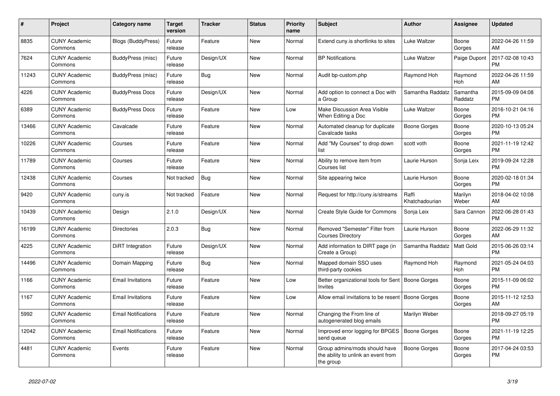| $\#$  | Project                         | <b>Category name</b>       | <b>Target</b><br>version | <b>Tracker</b> | <b>Status</b> | Priority<br>name | <b>Subject</b>                                                                    | <b>Author</b>           | <b>Assignee</b>       | <b>Updated</b>                |
|-------|---------------------------------|----------------------------|--------------------------|----------------|---------------|------------------|-----------------------------------------------------------------------------------|-------------------------|-----------------------|-------------------------------|
| 8835  | <b>CUNY Academic</b><br>Commons | <b>Blogs (BuddyPress)</b>  | Future<br>release        | Feature        | New           | Normal           | Extend cuny.is shortlinks to sites                                                | Luke Waltzer            | Boone<br>Gorges       | 2022-04-26 11:59<br>AM        |
| 7624  | <b>CUNY Academic</b><br>Commons | BuddyPress (misc)          | Future<br>release        | Design/UX      | New           | Normal           | <b>BP Notifications</b>                                                           | Luke Waltzer            | Paige Dupont          | 2017-02-08 10:43<br><b>PM</b> |
| 11243 | <b>CUNY Academic</b><br>Commons | BuddyPress (misc)          | Future<br>release        | Bug            | <b>New</b>    | Normal           | Audit bp-custom.php                                                               | Raymond Hoh             | Raymond<br><b>Hoh</b> | 2022-04-26 11:59<br>AM        |
| 4226  | <b>CUNY Academic</b><br>Commons | <b>BuddyPress Docs</b>     | Future<br>release        | Design/UX      | <b>New</b>    | Normal           | Add option to connect a Doc with<br>a Group                                       | Samantha Raddatz        | Samantha<br>Raddatz   | 2015-09-09 04:08<br><b>PM</b> |
| 6389  | <b>CUNY Academic</b><br>Commons | <b>BuddyPress Docs</b>     | Future<br>release        | Feature        | New           | Low              | Make Discussion Area Visible<br>When Editing a Doc                                | Luke Waltzer            | Boone<br>Gorges       | 2016-10-21 04:16<br><b>PM</b> |
| 13466 | <b>CUNY Academic</b><br>Commons | Cavalcade                  | Future<br>release        | Feature        | New           | Normal           | Automated cleanup for duplicate<br>Cavalcade tasks                                | Boone Gorges            | Boone<br>Gorges       | 2020-10-13 05:24<br><b>PM</b> |
| 10226 | <b>CUNY Academic</b><br>Commons | Courses                    | Future<br>release        | Feature        | <b>New</b>    | Normal           | Add "My Courses" to drop down<br>list                                             | scott voth              | Boone<br>Gorges       | 2021-11-19 12:42<br><b>PM</b> |
| 11789 | <b>CUNY Academic</b><br>Commons | Courses                    | Future<br>release        | Feature        | New           | Normal           | Ability to remove item from<br>Courses list                                       | Laurie Hurson           | Sonja Leix            | 2019-09-24 12:28<br><b>PM</b> |
| 12438 | <b>CUNY Academic</b><br>Commons | Courses                    | Not tracked              | <b>Bug</b>     | <b>New</b>    | Normal           | Site appearing twice                                                              | Laurie Hurson           | Boone<br>Gorges       | 2020-02-18 01:34<br><b>PM</b> |
| 9420  | <b>CUNY Academic</b><br>Commons | cuny.is                    | Not tracked              | Feature        | <b>New</b>    | Normal           | Request for http://cuny.is/streams                                                | Raffi<br>Khatchadourian | Marilyn<br>Weber      | 2018-04-02 10:08<br>AM        |
| 10439 | <b>CUNY Academic</b><br>Commons | Design                     | 2.1.0                    | Design/UX      | New           | Normal           | Create Style Guide for Commons                                                    | Sonja Leix              | Sara Cannon           | 2022-06-28 01:43<br><b>PM</b> |
| 16199 | <b>CUNY Academic</b><br>Commons | <b>Directories</b>         | 2.0.3                    | Bug            | New           | Normal           | Removed "Semester" Filter from<br><b>Courses Directory</b>                        | Laurie Hurson           | Boone<br>Gorges       | 2022-06-29 11:32<br>AM        |
| 4225  | <b>CUNY Academic</b><br>Commons | DiRT Integration           | Future<br>release        | Design/UX      | <b>New</b>    | Normal           | Add information to DIRT page (in<br>Create a Group)                               | Samantha Raddatz        | <b>Matt Gold</b>      | 2015-06-26 03:14<br><b>PM</b> |
| 14496 | <b>CUNY Academic</b><br>Commons | Domain Mapping             | Future<br>release        | <b>Bug</b>     | <b>New</b>    | Normal           | Mapped domain SSO uses<br>third-party cookies                                     | Raymond Hoh             | Raymond<br>Hoh        | 2021-05-24 04:03<br><b>PM</b> |
| 1166  | <b>CUNY Academic</b><br>Commons | Email Invitations          | Future<br>release        | Feature        | New           | Low              | Better organizational tools for Sent<br><b>Invites</b>                            | Boone Gorges            | Boone<br>Gorges       | 2015-11-09 06:02<br><b>PM</b> |
| 1167  | <b>CUNY Academic</b><br>Commons | <b>Email Invitations</b>   | Future<br>release        | Feature        | New           | Low              | Allow email invitations to be resent   Boone Gorges                               |                         | Boone<br>Gorges       | 2015-11-12 12:53<br>AM        |
| 5992  | <b>CUNY Academic</b><br>Commons | <b>Email Notifications</b> | Future<br>release        | Feature        | <b>New</b>    | Normal           | Changing the From line of<br>autogenerated blog emails                            | Marilyn Weber           |                       | 2018-09-27 05:19<br><b>PM</b> |
| 12042 | <b>CUNY Academic</b><br>Commons | <b>Email Notifications</b> | Future<br>release        | Feature        | <b>New</b>    | Normal           | Improved error logging for BPGES<br>send queue                                    | Boone Gorges            | Boone<br>Gorges       | 2021-11-19 12:25<br><b>PM</b> |
| 4481  | <b>CUNY Academic</b><br>Commons | Events                     | Future<br>release        | Feature        | New           | Normal           | Group admins/mods should have<br>the ability to unlink an event from<br>the group | <b>Boone Gorges</b>     | Boone<br>Gorges       | 2017-04-24 03:53<br><b>PM</b> |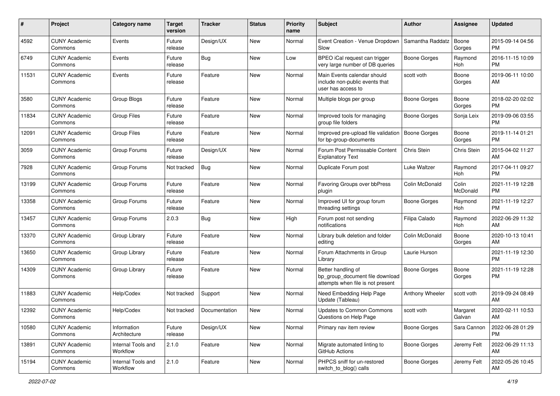| #     | Project                         | <b>Category name</b>           | <b>Target</b><br>version | <b>Tracker</b> | <b>Status</b> | <b>Priority</b><br>name | <b>Subject</b>                                                                             | Author              | Assignee              | <b>Updated</b>                |
|-------|---------------------------------|--------------------------------|--------------------------|----------------|---------------|-------------------------|--------------------------------------------------------------------------------------------|---------------------|-----------------------|-------------------------------|
| 4592  | <b>CUNY Academic</b><br>Commons | Events                         | Future<br>release        | Design/UX      | New           | Normal                  | Event Creation - Venue Dropdown<br>Slow                                                    | Samantha Raddatz    | Boone<br>Gorges       | 2015-09-14 04:56<br>PM.       |
| 6749  | <b>CUNY Academic</b><br>Commons | Events                         | Future<br>release        | Bug            | New           | Low                     | BPEO iCal request can trigger<br>very large number of DB queries                           | Boone Gorges        | Raymond<br>Hoh        | 2016-11-15 10:09<br><b>PM</b> |
| 11531 | <b>CUNY Academic</b><br>Commons | Events                         | Future<br>release        | Feature        | New           | Normal                  | Main Events calendar should<br>include non-public events that<br>user has access to        | scott voth          | Boone<br>Gorges       | 2019-06-11 10:00<br>AM        |
| 3580  | <b>CUNY Academic</b><br>Commons | Group Blogs                    | Future<br>release        | Feature        | New           | Normal                  | Multiple blogs per group                                                                   | Boone Gorges        | Boone<br>Gorges       | 2018-02-20 02:02<br><b>PM</b> |
| 11834 | <b>CUNY Academic</b><br>Commons | <b>Group Files</b>             | Future<br>release        | Feature        | New           | Normal                  | Improved tools for managing<br>group file folders                                          | Boone Gorges        | Sonja Leix            | 2019-09-06 03:55<br><b>PM</b> |
| 12091 | <b>CUNY Academic</b><br>Commons | <b>Group Files</b>             | Future<br>release        | Feature        | New           | Normal                  | Improved pre-upload file validation<br>for bp-group-documents                              | Boone Gorges        | Boone<br>Gorges       | 2019-11-14 01:21<br><b>PM</b> |
| 3059  | <b>CUNY Academic</b><br>Commons | Group Forums                   | Future<br>release        | Design/UX      | New           | Normal                  | Forum Post Permissable Content<br><b>Explanatory Text</b>                                  | Chris Stein         | Chris Stein           | 2015-04-02 11:27<br>AM        |
| 7928  | <b>CUNY Academic</b><br>Commons | Group Forums                   | Not tracked              | Bug            | New           | Normal                  | Duplicate Forum post                                                                       | Luke Waltzer        | Raymond<br>Hoh        | 2017-04-11 09:27<br><b>PM</b> |
| 13199 | <b>CUNY Academic</b><br>Commons | Group Forums                   | Future<br>release        | Feature        | New           | Normal                  | Favoring Groups over bbPress<br>plugin                                                     | Colin McDonald      | Colin<br>McDonald     | 2021-11-19 12:28<br>PM.       |
| 13358 | <b>CUNY Academic</b><br>Commons | Group Forums                   | Future<br>release        | Feature        | New           | Normal                  | Improved UI for group forum<br>threading settings                                          | <b>Boone Gorges</b> | Raymond<br><b>Hoh</b> | 2021-11-19 12:27<br><b>PM</b> |
| 13457 | <b>CUNY Academic</b><br>Commons | Group Forums                   | 2.0.3                    | Bug            | New           | High                    | Forum post not sending<br>notifications                                                    | Filipa Calado       | Raymond<br>Hoh        | 2022-06-29 11:32<br>AM        |
| 13370 | <b>CUNY Academic</b><br>Commons | Group Library                  | Future<br>release        | Feature        | New           | Normal                  | Library bulk deletion and folder<br>editing                                                | Colin McDonald      | Boone<br>Gorges       | 2020-10-13 10:41<br>AM        |
| 13650 | <b>CUNY Academic</b><br>Commons | Group Library                  | Future<br>release        | Feature        | New           | Normal                  | Forum Attachments in Group<br>Library                                                      | Laurie Hurson       |                       | 2021-11-19 12:30<br><b>PM</b> |
| 14309 | <b>CUNY Academic</b><br>Commons | Group Library                  | Future<br>release        | Feature        | New           | Normal                  | Better handling of<br>bp group document file download<br>attempts when file is not present | <b>Boone Gorges</b> | Boone<br>Gorges       | 2021-11-19 12:28<br><b>PM</b> |
| 11883 | <b>CUNY Academic</b><br>Commons | Help/Codex                     | Not tracked              | Support        | New           | Normal                  | Need Embedding Help Page<br>Update (Tableau)                                               | Anthony Wheeler     | scott voth            | 2019-09-24 08:49<br>AM        |
| 12392 | <b>CUNY Academic</b><br>Commons | Help/Codex                     | Not tracked              | Documentation  | New           | Normal                  | <b>Updates to Common Commons</b><br>Questions on Help Page                                 | scott voth          | Margaret<br>Galvan    | 2020-02-11 10:53<br>AM        |
| 10580 | <b>CUNY Academic</b><br>Commons | Information<br>Architecture    | Future<br>release        | Design/UX      | New           | Normal                  | Primary nav item review                                                                    | Boone Gorges        | Sara Cannon           | 2022-06-28 01:29<br><b>PM</b> |
| 13891 | <b>CUNY Academic</b><br>Commons | Internal Tools and<br>Workflow | 2.1.0                    | Feature        | New           | Normal                  | Migrate automated linting to<br>GitHub Actions                                             | Boone Gorges        | Jeremy Felt           | 2022-06-29 11:13<br>AM        |
| 15194 | <b>CUNY Academic</b><br>Commons | Internal Tools and<br>Workflow | 2.1.0                    | Feature        | New           | Normal                  | PHPCS sniff for un-restored<br>switch_to_blog() calls                                      | Boone Gorges        | Jeremy Felt           | 2022-05-26 10:45<br>AM        |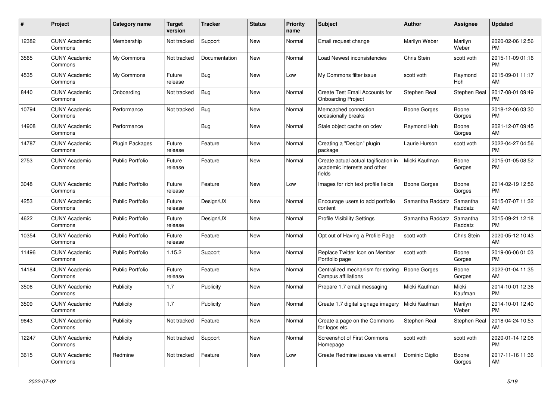| #     | Project                         | <b>Category name</b>    | <b>Target</b><br>version | <b>Tracker</b> | <b>Status</b> | <b>Priority</b><br>name | <b>Subject</b>                                                                 | <b>Author</b>       | Assignee            | <b>Updated</b>                |
|-------|---------------------------------|-------------------------|--------------------------|----------------|---------------|-------------------------|--------------------------------------------------------------------------------|---------------------|---------------------|-------------------------------|
| 12382 | <b>CUNY Academic</b><br>Commons | Membership              | Not tracked              | Support        | New           | Normal                  | Email request change                                                           | Marilyn Weber       | Marilyn<br>Weber    | 2020-02-06 12:56<br><b>PM</b> |
| 3565  | <b>CUNY Academic</b><br>Commons | My Commons              | Not tracked              | Documentation  | New           | Normal                  | Load Newest inconsistencies                                                    | Chris Stein         | scott voth          | 2015-11-09 01:16<br><b>PM</b> |
| 4535  | <b>CUNY Academic</b><br>Commons | My Commons              | Future<br>release        | <b>Bug</b>     | <b>New</b>    | Low                     | My Commons filter issue                                                        | scott voth          | Raymond<br>Hoh      | 2015-09-01 11:17<br>AM        |
| 8440  | <b>CUNY Academic</b><br>Commons | Onboarding              | Not tracked              | <b>Bug</b>     | <b>New</b>    | Normal                  | Create Test Email Accounts for<br><b>Onboarding Project</b>                    | Stephen Real        | Stephen Real        | 2017-08-01 09:49<br><b>PM</b> |
| 10794 | <b>CUNY Academic</b><br>Commons | Performance             | Not tracked              | Bug            | New           | Normal                  | Memcached connection<br>occasionally breaks                                    | Boone Gorges        | Boone<br>Gorges     | 2018-12-06 03:30<br><b>PM</b> |
| 14908 | <b>CUNY Academic</b><br>Commons | Performance             |                          | Bug            | New           | Normal                  | Stale object cache on cdev                                                     | Raymond Hoh         | Boone<br>Gorges     | 2021-12-07 09:45<br>AM        |
| 14787 | <b>CUNY Academic</b><br>Commons | Plugin Packages         | Future<br>release        | Feature        | <b>New</b>    | Normal                  | Creating a "Design" plugin<br>package                                          | Laurie Hurson       | scott voth          | 2022-04-27 04:56<br><b>PM</b> |
| 2753  | <b>CUNY Academic</b><br>Commons | <b>Public Portfolio</b> | Future<br>release        | Feature        | <b>New</b>    | Normal                  | Create actual actual tagification in<br>academic interests and other<br>fields | Micki Kaufman       | Boone<br>Gorges     | 2015-01-05 08:52<br><b>PM</b> |
| 3048  | <b>CUNY Academic</b><br>Commons | <b>Public Portfolio</b> | Future<br>release        | Feature        | New           | Low                     | Images for rich text profile fields                                            | <b>Boone Gorges</b> | Boone<br>Gorges     | 2014-02-19 12:56<br><b>PM</b> |
| 4253  | <b>CUNY Academic</b><br>Commons | Public Portfolio        | Future<br>release        | Design/UX      | New           | Normal                  | Encourage users to add portfolio<br>content                                    | Samantha Raddatz    | Samantha<br>Raddatz | 2015-07-07 11:32<br>AM        |
| 4622  | <b>CUNY Academic</b><br>Commons | <b>Public Portfolio</b> | Future<br>release        | Design/UX      | New           | Normal                  | <b>Profile Visibility Settings</b>                                             | Samantha Raddatz    | Samantha<br>Raddatz | 2015-09-21 12:18<br><b>PM</b> |
| 10354 | <b>CUNY Academic</b><br>Commons | Public Portfolio        | Future<br>release        | Feature        | New           | Normal                  | Opt out of Having a Profile Page                                               | scott voth          | <b>Chris Stein</b>  | 2020-05-12 10:43<br>AM        |
| 11496 | <b>CUNY Academic</b><br>Commons | <b>Public Portfolio</b> | 1.15.2                   | Support        | <b>New</b>    | Normal                  | Replace Twitter Icon on Member<br>Portfolio page                               | scott voth          | Boone<br>Gorges     | 2019-06-06 01:03<br><b>PM</b> |
| 14184 | <b>CUNY Academic</b><br>Commons | <b>Public Portfolio</b> | Future<br>release        | Feature        | <b>New</b>    | Normal                  | Centralized mechanism for storing<br>Campus affiliations                       | Boone Gorges        | Boone<br>Gorges     | 2022-01-04 11:35<br>AM        |
| 3506  | <b>CUNY Academic</b><br>Commons | Publicity               | 1.7                      | Publicity      | New           | Normal                  | Prepare 1.7 email messaging                                                    | Micki Kaufman       | Micki<br>Kaufman    | 2014-10-01 12:36<br><b>PM</b> |
| 3509  | <b>CUNY Academic</b><br>Commons | Publicity               | 1.7                      | Publicity      | New           | Normal                  | Create 1.7 digital signage imagery                                             | Micki Kaufman       | Marilyn<br>Weber    | 2014-10-01 12:40<br><b>PM</b> |
| 9643  | <b>CUNY Academic</b><br>Commons | Publicity               | Not tracked              | Feature        | <b>New</b>    | Normal                  | Create a page on the Commons<br>for logos etc.                                 | Stephen Real        | Stephen Real        | 2018-04-24 10:53<br>AM        |
| 12247 | <b>CUNY Academic</b><br>Commons | Publicity               | Not tracked              | Support        | New           | Normal                  | Screenshot of First Commons<br>Homepage                                        | scott voth          | scott voth          | 2020-01-14 12:08<br><b>PM</b> |
| 3615  | <b>CUNY Academic</b><br>Commons | Redmine                 | Not tracked              | Feature        | <b>New</b>    | Low                     | Create Redmine issues via email                                                | Dominic Giglio      | Boone<br>Gorges     | 2017-11-16 11:36<br>AM        |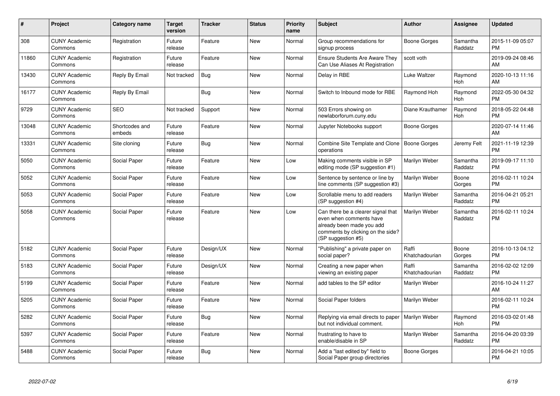| $\pmb{\#}$ | Project                         | <b>Category name</b>     | <b>Target</b><br>version | <b>Tracker</b> | <b>Status</b> | <b>Priority</b><br>name | <b>Subject</b>                                                                                                                                        | <b>Author</b>           | Assignee              | <b>Updated</b>                |
|------------|---------------------------------|--------------------------|--------------------------|----------------|---------------|-------------------------|-------------------------------------------------------------------------------------------------------------------------------------------------------|-------------------------|-----------------------|-------------------------------|
| 308        | <b>CUNY Academic</b><br>Commons | Registration             | Future<br>release        | Feature        | <b>New</b>    | Normal                  | Group recommendations for<br>signup process                                                                                                           | Boone Gorges            | Samantha<br>Raddatz   | 2015-11-09 05:07<br><b>PM</b> |
| 11860      | <b>CUNY Academic</b><br>Commons | Registration             | Future<br>release        | Feature        | <b>New</b>    | Normal                  | <b>Ensure Students Are Aware They</b><br>Can Use Aliases At Registration                                                                              | scott voth              |                       | 2019-09-24 08:46<br>AM        |
| 13430      | <b>CUNY Academic</b><br>Commons | Reply By Email           | Not tracked              | Bug            | <b>New</b>    | Normal                  | Delay in RBE                                                                                                                                          | Luke Waltzer            | Raymond<br><b>Hoh</b> | 2020-10-13 11:16<br>AM        |
| 16177      | <b>CUNY Academic</b><br>Commons | Reply By Email           |                          | Bug            | New           | Normal                  | Switch to Inbound mode for RBE                                                                                                                        | Raymond Hoh             | Raymond<br>Hoh        | 2022-05-30 04:32<br><b>PM</b> |
| 9729       | <b>CUNY Academic</b><br>Commons | <b>SEO</b>               | Not tracked              | Support        | New           | Normal                  | 503 Errors showing on<br>newlaborforum.cuny.edu                                                                                                       | Diane Krauthamer        | Raymond<br>Hoh        | 2018-05-22 04:48<br><b>PM</b> |
| 13048      | <b>CUNY Academic</b><br>Commons | Shortcodes and<br>embeds | Future<br>release        | Feature        | New           | Normal                  | Jupyter Notebooks support                                                                                                                             | Boone Gorges            |                       | 2020-07-14 11:46<br>AM        |
| 13331      | <b>CUNY Academic</b><br>Commons | Site cloning             | Future<br>release        | Bug            | <b>New</b>    | Normal                  | Combine Site Template and Clone<br>operations                                                                                                         | Boone Gorges            | Jeremy Felt           | 2021-11-19 12:39<br><b>PM</b> |
| 5050       | <b>CUNY Academic</b><br>Commons | Social Paper             | Future<br>release        | Feature        | <b>New</b>    | Low                     | Making comments visible in SP<br>editing mode (SP suggestion #1)                                                                                      | Marilyn Weber           | Samantha<br>Raddatz   | 2019-09-17 11:10<br><b>PM</b> |
| 5052       | <b>CUNY Academic</b><br>Commons | Social Paper             | Future<br>release        | Feature        | <b>New</b>    | Low                     | Sentence by sentence or line by<br>line comments (SP suggestion #3)                                                                                   | Marilyn Weber           | Boone<br>Gorges       | 2016-02-11 10:24<br><b>PM</b> |
| 5053       | <b>CUNY Academic</b><br>Commons | Social Paper             | Future<br>release        | Feature        | <b>New</b>    | Low                     | Scrollable menu to add readers<br>(SP suggestion #4)                                                                                                  | Marilyn Weber           | Samantha<br>Raddatz   | 2016-04-21 05:21<br><b>PM</b> |
| 5058       | <b>CUNY Academic</b><br>Commons | Social Paper             | Future<br>release        | Feature        | <b>New</b>    | Low                     | Can there be a clearer signal that<br>even when comments have<br>already been made you add<br>comments by clicking on the side?<br>(SP suggestion #5) | Marilyn Weber           | Samantha<br>Raddatz   | 2016-02-11 10:24<br><b>PM</b> |
| 5182       | <b>CUNY Academic</b><br>Commons | Social Paper             | Future<br>release        | Design/UX      | <b>New</b>    | Normal                  | "Publishing" a private paper on<br>social paper?                                                                                                      | Raffi<br>Khatchadourian | Boone<br>Gorges       | 2016-10-13 04:12<br><b>PM</b> |
| 5183       | <b>CUNY Academic</b><br>Commons | Social Paper             | Future<br>release        | Design/UX      | New           | Normal                  | Creating a new paper when<br>viewing an existing paper                                                                                                | Raffi<br>Khatchadourian | Samantha<br>Raddatz   | 2016-02-02 12:09<br><b>PM</b> |
| 5199       | <b>CUNY Academic</b><br>Commons | Social Paper             | Future<br>release        | Feature        | <b>New</b>    | Normal                  | add tables to the SP editor                                                                                                                           | Marilyn Weber           |                       | 2016-10-24 11:27<br>AM        |
| 5205       | <b>CUNY Academic</b><br>Commons | Social Paper             | Future<br>release        | Feature        | New           | Normal                  | Social Paper folders                                                                                                                                  | Marilyn Weber           |                       | 2016-02-11 10:24<br><b>PM</b> |
| 5282       | <b>CUNY Academic</b><br>Commons | Social Paper             | Future<br>release        | Bug            | New           | Normal                  | Replying via email directs to paper<br>but not individual comment.                                                                                    | Marilyn Weber           | Raymond<br>Hoh        | 2016-03-02 01:48<br><b>PM</b> |
| 5397       | <b>CUNY Academic</b><br>Commons | Social Paper             | Future<br>release        | Feature        | <b>New</b>    | Normal                  | frustrating to have to<br>enable/disable in SP                                                                                                        | Marilyn Weber           | Samantha<br>Raddatz   | 2016-04-20 03:39<br><b>PM</b> |
| 5488       | <b>CUNY Academic</b><br>Commons | Social Paper             | Future<br>release        | Bug            | <b>New</b>    | Normal                  | Add a "last edited by" field to<br>Social Paper group directories                                                                                     | Boone Gorges            |                       | 2016-04-21 10:05<br><b>PM</b> |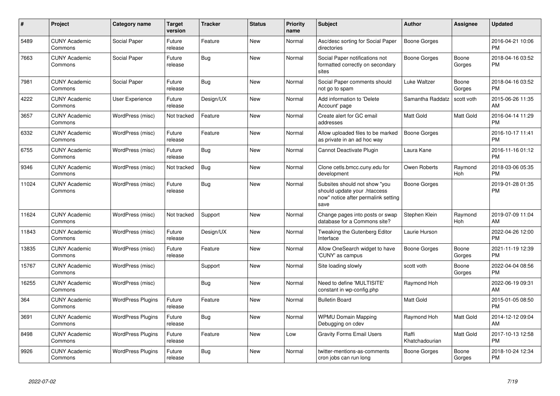| #     | Project                         | <b>Category name</b>     | <b>Target</b><br>version | <b>Tracker</b> | <b>Status</b> | <b>Priority</b><br>name | <b>Subject</b>                                                                                               | <b>Author</b>           | <b>Assignee</b> | <b>Updated</b>                |
|-------|---------------------------------|--------------------------|--------------------------|----------------|---------------|-------------------------|--------------------------------------------------------------------------------------------------------------|-------------------------|-----------------|-------------------------------|
| 5489  | <b>CUNY Academic</b><br>Commons | Social Paper             | Future<br>release        | Feature        | <b>New</b>    | Normal                  | Asc/desc sorting for Social Paper<br>directories                                                             | Boone Gorges            |                 | 2016-04-21 10:06<br><b>PM</b> |
| 7663  | <b>CUNY Academic</b><br>Commons | Social Paper             | Future<br>release        | Bug            | <b>New</b>    | Normal                  | Social Paper notifications not<br>formatted correctly on secondary<br>sites                                  | Boone Gorges            | Boone<br>Gorges | 2018-04-16 03:52<br><b>PM</b> |
| 7981  | <b>CUNY Academic</b><br>Commons | Social Paper             | Future<br>release        | Bug            | <b>New</b>    | Normal                  | Social Paper comments should<br>not go to spam                                                               | Luke Waltzer            | Boone<br>Gorges | 2018-04-16 03:52<br><b>PM</b> |
| 4222  | <b>CUNY Academic</b><br>Commons | User Experience          | Future<br>release        | Design/UX      | <b>New</b>    | Normal                  | Add information to 'Delete<br>Account' page                                                                  | Samantha Raddatz        | scott voth      | 2015-06-26 11:35<br>AM        |
| 3657  | <b>CUNY Academic</b><br>Commons | WordPress (misc)         | Not tracked              | Feature        | <b>New</b>    | Normal                  | Create alert for GC email<br>addresses                                                                       | <b>Matt Gold</b>        | Matt Gold       | 2016-04-14 11:29<br><b>PM</b> |
| 6332  | <b>CUNY Academic</b><br>Commons | WordPress (misc)         | Future<br>release        | Feature        | <b>New</b>    | Normal                  | Allow uploaded files to be marked<br>as private in an ad hoc way                                             | <b>Boone Gorges</b>     |                 | 2016-10-17 11:41<br><b>PM</b> |
| 6755  | <b>CUNY Academic</b><br>Commons | WordPress (misc)         | Future<br>release        | Bug            | New           | Normal                  | Cannot Deactivate Plugin                                                                                     | Laura Kane              |                 | 2016-11-16 01:12<br><b>PM</b> |
| 9346  | <b>CUNY Academic</b><br>Commons | WordPress (misc)         | Not tracked              | Bug            | New           | Normal                  | Clone cetls.bmcc.cuny.edu for<br>development                                                                 | Owen Roberts            | Raymond<br>Hoh  | 2018-03-06 05:35<br><b>PM</b> |
| 11024 | <b>CUNY Academic</b><br>Commons | WordPress (misc)         | Future<br>release        | Bug            | New           | Normal                  | Subsites should not show "you<br>should update your .htaccess<br>now" notice after permalink setting<br>save | Boone Gorges            |                 | 2019-01-28 01:35<br><b>PM</b> |
| 11624 | <b>CUNY Academic</b><br>Commons | WordPress (misc)         | Not tracked              | Support        | <b>New</b>    | Normal                  | Change pages into posts or swap<br>database for a Commons site?                                              | Stephen Klein           | Raymond<br>Hoh  | 2019-07-09 11:04<br>AM        |
| 11843 | <b>CUNY Academic</b><br>Commons | WordPress (misc)         | Future<br>release        | Design/UX      | <b>New</b>    | Normal                  | Tweaking the Gutenberg Editor<br>Interface                                                                   | Laurie Hurson           |                 | 2022-04-26 12:00<br><b>PM</b> |
| 13835 | <b>CUNY Academic</b><br>Commons | WordPress (misc)         | Future<br>release        | Feature        | New           | Normal                  | Allow OneSearch widget to have<br>'CUNY' as campus                                                           | Boone Gorges            | Boone<br>Gorges | 2021-11-19 12:39<br><b>PM</b> |
| 15767 | <b>CUNY Academic</b><br>Commons | WordPress (misc)         |                          | Support        | New           | Normal                  | Site loading slowly                                                                                          | scott voth              | Boone<br>Gorges | 2022-04-04 08:56<br><b>PM</b> |
| 16255 | <b>CUNY Academic</b><br>Commons | WordPress (misc)         |                          | <b>Bug</b>     | New           | Normal                  | Need to define 'MULTISITE'<br>constant in wp-config.php                                                      | Raymond Hoh             |                 | 2022-06-19 09:31<br>AM        |
| 364   | <b>CUNY Academic</b><br>Commons | <b>WordPress Plugins</b> | Future<br>release        | Feature        | <b>New</b>    | Normal                  | <b>Bulletin Board</b>                                                                                        | <b>Matt Gold</b>        |                 | 2015-01-05 08:50<br><b>PM</b> |
| 3691  | <b>CUNY Academic</b><br>Commons | <b>WordPress Plugins</b> | Future<br>release        | Bug            | <b>New</b>    | Normal                  | <b>WPMU Domain Mapping</b><br>Debugging on cdev                                                              | Raymond Hoh             | Matt Gold       | 2014-12-12 09:04<br>AM        |
| 8498  | <b>CUNY Academic</b><br>Commons | <b>WordPress Plugins</b> | Future<br>release        | Feature        | <b>New</b>    | Low                     | <b>Gravity Forms Email Users</b>                                                                             | Raffi<br>Khatchadourian | Matt Gold       | 2017-10-13 12:58<br><b>PM</b> |
| 9926  | <b>CUNY Academic</b><br>Commons | <b>WordPress Plugins</b> | Future<br>release        | Bug            | <b>New</b>    | Normal                  | twitter-mentions-as-comments<br>cron jobs can run long                                                       | Boone Gorges            | Boone<br>Gorges | 2018-10-24 12:34<br><b>PM</b> |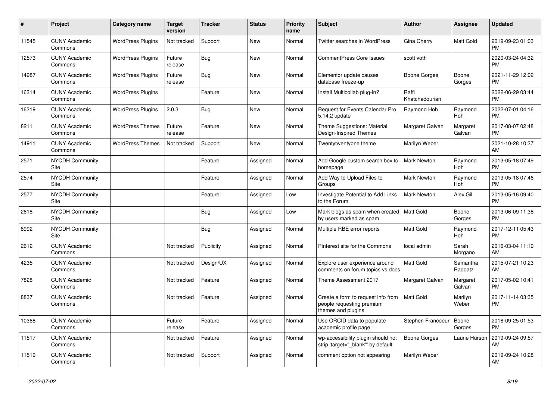| $\pmb{\#}$ | <b>Project</b>                  | Category name            | <b>Target</b><br>version | <b>Tracker</b> | <b>Status</b> | <b>Priority</b><br>name | <b>Subject</b>                                                                        | <b>Author</b>           | Assignee            | <b>Updated</b>                |
|------------|---------------------------------|--------------------------|--------------------------|----------------|---------------|-------------------------|---------------------------------------------------------------------------------------|-------------------------|---------------------|-------------------------------|
| 11545      | <b>CUNY Academic</b><br>Commons | <b>WordPress Plugins</b> | Not tracked              | Support        | New           | Normal                  | <b>Twitter searches in WordPress</b>                                                  | Gina Cherry             | <b>Matt Gold</b>    | 2019-09-23 01:03<br><b>PM</b> |
| 12573      | <b>CUNY Academic</b><br>Commons | <b>WordPress Plugins</b> | Future<br>release        | Bug            | <b>New</b>    | Normal                  | <b>CommentPress Core Issues</b>                                                       | scott voth              |                     | 2020-03-24 04:32<br><b>PM</b> |
| 14987      | <b>CUNY Academic</b><br>Commons | <b>WordPress Plugins</b> | Future<br>release        | <b>Bug</b>     | New           | Normal                  | Elementor update causes<br>database freeze-up                                         | Boone Gorges            | Boone<br>Gorges     | 2021-11-29 12:02<br><b>PM</b> |
| 16314      | <b>CUNY Academic</b><br>Commons | <b>WordPress Plugins</b> |                          | Feature        | <b>New</b>    | Normal                  | Install Multicollab plug-in?                                                          | Raffi<br>Khatchadourian |                     | 2022-06-29 03:44<br><b>PM</b> |
| 16319      | <b>CUNY Academic</b><br>Commons | <b>WordPress Plugins</b> | 2.0.3                    | Bug            | New           | Normal                  | <b>Request for Events Calendar Pro</b><br>5.14.2 update                               | Raymond Hoh             | Raymond<br>Hoh      | 2022-07-01 04:16<br><b>PM</b> |
| 8211       | <b>CUNY Academic</b><br>Commons | <b>WordPress Themes</b>  | Future<br>release        | Feature        | New           | Normal                  | Theme Suggestions: Material<br>Design-Inspired Themes                                 | Margaret Galvan         | Margaret<br>Galvan  | 2017-08-07 02:48<br><b>PM</b> |
| 14911      | <b>CUNY Academic</b><br>Commons | <b>WordPress Themes</b>  | Not tracked              | Support        | <b>New</b>    | Normal                  | Twentytwentyone theme                                                                 | Marilyn Weber           |                     | 2021-10-28 10:37<br>AM        |
| 2571       | <b>NYCDH Community</b><br>Site  |                          |                          | Feature        | Assigned      | Normal                  | Add Google custom search box to<br>homepage                                           | <b>Mark Newton</b>      | Raymond<br>Hoh      | 2013-05-18 07:49<br><b>PM</b> |
| 2574       | <b>NYCDH Community</b><br>Site  |                          |                          | Feature        | Assigned      | Normal                  | Add Way to Upload Files to<br>Groups                                                  | <b>Mark Newton</b>      | Raymond<br>Hoh      | 2013-05-18 07:46<br><b>PM</b> |
| 2577       | <b>NYCDH Community</b><br>Site  |                          |                          | Feature        | Assigned      | Low                     | Investigate Potential to Add Links<br>to the Forum                                    | Mark Newton             | Alex Gil            | 2013-05-16 09:40<br><b>PM</b> |
| 2618       | <b>NYCDH Community</b><br>Site  |                          |                          | Bug            | Assigned      | Low                     | Mark blogs as spam when created<br>by users marked as spam                            | <b>Matt Gold</b>        | Boone<br>Gorges     | 2013-06-09 11:38<br><b>PM</b> |
| 8992       | <b>NYCDH Community</b><br>Site  |                          |                          | Bug            | Assigned      | Normal                  | Multiple RBE error reports                                                            | Matt Gold               | Raymond<br>Hoh      | 2017-12-11 05:43<br><b>PM</b> |
| 2612       | <b>CUNY Academic</b><br>Commons |                          | Not tracked              | Publicity      | Assigned      | Normal                  | Pinterest site for the Commons                                                        | local admin             | Sarah<br>Morgano    | 2016-03-04 11:19<br>AM        |
| 4235       | <b>CUNY Academic</b><br>Commons |                          | Not tracked              | Design/UX      | Assigned      | Normal                  | Explore user experience around<br>comments on forum topics vs docs                    | <b>Matt Gold</b>        | Samantha<br>Raddatz | 2015-07-21 10:23<br>AM        |
| 7828       | <b>CUNY Academic</b><br>Commons |                          | Not tracked              | Feature        | Assigned      | Normal                  | Theme Assessment 2017                                                                 | Margaret Galvan         | Margaret<br>Galvan  | 2017-05-02 10:41<br><b>PM</b> |
| 8837       | <b>CUNY Academic</b><br>Commons |                          | Not tracked              | Feature        | Assigned      | Normal                  | Create a form to request info from<br>people requesting premium<br>themes and plugins | <b>Matt Gold</b>        | Marilyn<br>Weber    | 2017-11-14 03:35<br><b>PM</b> |
| 10368      | <b>CUNY Academic</b><br>Commons |                          | Future<br>release        | Feature        | Assigned      | Normal                  | Use ORCID data to populate<br>academic profile page                                   | Stephen Francoeur       | Boone<br>Gorges     | 2018-09-25 01:53<br><b>PM</b> |
| 11517      | <b>CUNY Academic</b><br>Commons |                          | Not tracked              | Feature        | Assigned      | Normal                  | wp-accessibility plugin should not<br>strip 'target="_blank"' by default              | Boone Gorges            | Laurie Hurson       | 2019-09-24 09:57<br>AM        |
| 11519      | <b>CUNY Academic</b><br>Commons |                          | Not tracked              | Support        | Assigned      | Normal                  | comment option not appearing                                                          | Marilyn Weber           |                     | 2019-09-24 10:28<br>AM        |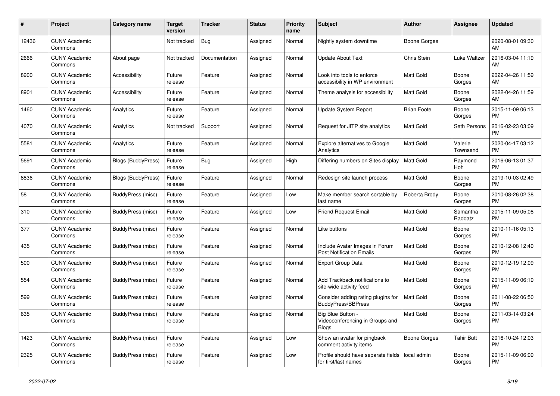| #     | Project                         | <b>Category name</b> | <b>Target</b><br>version | <b>Tracker</b> | <b>Status</b> | Priority<br>name | <b>Subject</b>                                                       | <b>Author</b>      | <b>Assignee</b>     | <b>Updated</b>                |
|-------|---------------------------------|----------------------|--------------------------|----------------|---------------|------------------|----------------------------------------------------------------------|--------------------|---------------------|-------------------------------|
| 12436 | <b>CUNY Academic</b><br>Commons |                      | Not tracked              | Bug            | Assigned      | Normal           | Nightly system downtime                                              | Boone Gorges       |                     | 2020-08-01 09:30<br>AM        |
| 2666  | <b>CUNY Academic</b><br>Commons | About page           | Not tracked              | Documentation  | Assigned      | Normal           | Update About Text                                                    | Chris Stein        | Luke Waltzer        | 2016-03-04 11:19<br>AM        |
| 8900  | <b>CUNY Academic</b><br>Commons | Accessibility        | Future<br>release        | Feature        | Assigned      | Normal           | Look into tools to enforce<br>accessibility in WP environment        | Matt Gold          | Boone<br>Gorges     | 2022-04-26 11:59<br>AM        |
| 8901  | <b>CUNY Academic</b><br>Commons | Accessibility        | Future<br>release        | Feature        | Assigned      | Normal           | Theme analysis for accessibility                                     | Matt Gold          | Boone<br>Gorges     | 2022-04-26 11:59<br>AM        |
| 1460  | <b>CUNY Academic</b><br>Commons | Analytics            | Future<br>release        | Feature        | Assigned      | Normal           | <b>Update System Report</b>                                          | <b>Brian Foote</b> | Boone<br>Gorges     | 2015-11-09 06:13<br><b>PM</b> |
| 4070  | <b>CUNY Academic</b><br>Commons | Analytics            | Not tracked              | Support        | Assigned      | Normal           | Request for JITP site analytics                                      | Matt Gold          | Seth Persons        | 2016-02-23 03:09<br><b>PM</b> |
| 5581  | <b>CUNY Academic</b><br>Commons | Analytics            | Future<br>release        | Feature        | Assigned      | Normal           | <b>Explore alternatives to Google</b><br>Analytics                   | <b>Matt Gold</b>   | Valerie<br>Townsend | 2020-04-17 03:12<br><b>PM</b> |
| 5691  | <b>CUNY Academic</b><br>Commons | Blogs (BuddyPress)   | Future<br>release        | Bug            | Assigned      | High             | Differing numbers on Sites display                                   | <b>Matt Gold</b>   | Raymond<br>Hoh      | 2016-06-13 01:37<br><b>PM</b> |
| 8836  | <b>CUNY Academic</b><br>Commons | Blogs (BuddyPress)   | Future<br>release        | Feature        | Assigned      | Normal           | Redesign site launch process                                         | Matt Gold          | Boone<br>Gorges     | 2019-10-03 02:49<br><b>PM</b> |
| 58    | <b>CUNY Academic</b><br>Commons | BuddyPress (misc)    | Future<br>release        | Feature        | Assigned      | Low              | Make member search sortable by<br>last name                          | Roberta Brody      | Boone<br>Gorges     | 2010-08-26 02:38<br><b>PM</b> |
| 310   | <b>CUNY Academic</b><br>Commons | BuddyPress (misc)    | Future<br>release        | Feature        | Assigned      | Low              | <b>Friend Request Email</b>                                          | <b>Matt Gold</b>   | Samantha<br>Raddatz | 2015-11-09 05:08<br><b>PM</b> |
| 377   | <b>CUNY Academic</b><br>Commons | BuddyPress (misc)    | Future<br>release        | Feature        | Assigned      | Normal           | Like buttons                                                         | Matt Gold          | Boone<br>Gorges     | 2010-11-16 05:13<br><b>PM</b> |
| 435   | <b>CUNY Academic</b><br>Commons | BuddyPress (misc)    | Future<br>release        | Feature        | Assigned      | Normal           | Include Avatar Images in Forum<br><b>Post Notification Emails</b>    | <b>Matt Gold</b>   | Boone<br>Gorges     | 2010-12-08 12:40<br><b>PM</b> |
| 500   | <b>CUNY Academic</b><br>Commons | BuddyPress (misc)    | Future<br>release        | Feature        | Assigned      | Normal           | <b>Export Group Data</b>                                             | <b>Matt Gold</b>   | Boone<br>Gorges     | 2010-12-19 12:09<br><b>PM</b> |
| 554   | <b>CUNY Academic</b><br>Commons | BuddyPress (misc)    | Future<br>release        | Feature        | Assigned      | Normal           | Add Trackback notifications to<br>site-wide activity feed            | Matt Gold          | Boone<br>Gorges     | 2015-11-09 06:19<br><b>PM</b> |
| 599   | <b>CUNY Academic</b><br>Commons | BuddyPress (misc)    | Future<br>release        | Feature        | Assigned      | Normal           | Consider adding rating plugins for<br><b>BuddyPress/BBPress</b>      | <b>Matt Gold</b>   | Boone<br>Gorges     | 2011-08-22 06:50<br><b>PM</b> |
| 635   | <b>CUNY Academic</b><br>Commons | BuddyPress (misc)    | Future<br>release        | Feature        | Assigned      | Normal           | Big Blue Button -<br>Videoconferencing in Groups and<br><b>Blogs</b> | <b>Matt Gold</b>   | Boone<br>Gorges     | 2011-03-14 03:24<br><b>PM</b> |
| 1423  | <b>CUNY Academic</b><br>Commons | BuddyPress (misc)    | Future<br>release        | Feature        | Assigned      | Low              | Show an avatar for pingback<br>comment activity items                | Boone Gorges       | Tahir Butt          | 2016-10-24 12:03<br><b>PM</b> |
| 2325  | <b>CUNY Academic</b><br>Commons | BuddyPress (misc)    | Future<br>release        | Feature        | Assigned      | Low              | Profile should have separate fields<br>for first/last names          | local admin        | Boone<br>Gorges     | 2015-11-09 06:09<br><b>PM</b> |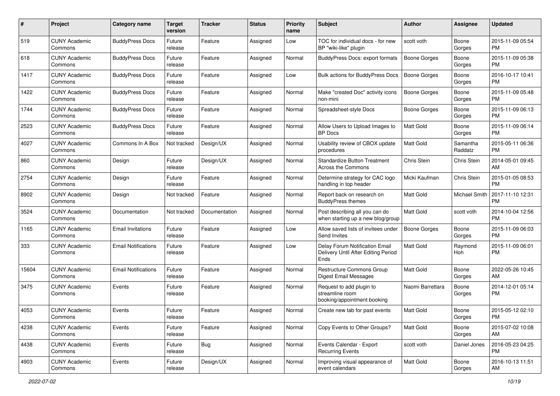| #     | Project                         | <b>Category name</b>       | <b>Target</b><br>version | <b>Tracker</b> | <b>Status</b> | Priority<br>name | <b>Subject</b>                                                                | Author              | <b>Assignee</b>     | <b>Updated</b>                |
|-------|---------------------------------|----------------------------|--------------------------|----------------|---------------|------------------|-------------------------------------------------------------------------------|---------------------|---------------------|-------------------------------|
| 519   | <b>CUNY Academic</b><br>Commons | <b>BuddyPress Docs</b>     | Future<br>release        | Feature        | Assigned      | Low              | TOC for individual docs - for new<br>BP "wiki-like" plugin                    | scott voth          | Boone<br>Gorges     | 2015-11-09 05:54<br>PM.       |
| 618   | <b>CUNY Academic</b><br>Commons | <b>BuddyPress Docs</b>     | Future<br>release        | Feature        | Assigned      | Normal           | BuddyPress Docs: export formats                                               | <b>Boone Gorges</b> | Boone<br>Gorges     | 2015-11-09 05:38<br><b>PM</b> |
| 1417  | <b>CUNY Academic</b><br>Commons | <b>BuddyPress Docs</b>     | Future<br>release        | Feature        | Assigned      | Low              | Bulk actions for BuddyPress Docs                                              | Boone Gorges        | Boone<br>Gorges     | 2016-10-17 10:41<br><b>PM</b> |
| 1422  | <b>CUNY Academic</b><br>Commons | <b>BuddyPress Docs</b>     | Future<br>release        | Feature        | Assigned      | Normal           | Make "created Doc" activity icons<br>non-mini                                 | <b>Boone Gorges</b> | Boone<br>Gorges     | 2015-11-09 05:48<br><b>PM</b> |
| 1744  | <b>CUNY Academic</b><br>Commons | <b>BuddyPress Docs</b>     | Future<br>release        | Feature        | Assigned      | Normal           | Spreadsheet-style Docs                                                        | Boone Gorges        | Boone<br>Gorges     | 2015-11-09 06:13<br><b>PM</b> |
| 2523  | <b>CUNY Academic</b><br>Commons | <b>BuddyPress Docs</b>     | Future<br>release        | Feature        | Assigned      | Normal           | Allow Users to Upload Images to<br><b>BP</b> Docs                             | <b>Matt Gold</b>    | Boone<br>Gorges     | 2015-11-09 06:14<br><b>PM</b> |
| 4027  | <b>CUNY Academic</b><br>Commons | Commons In A Box           | Not tracked              | Design/UX      | Assigned      | Normal           | Usability review of CBOX update<br>procedures                                 | Matt Gold           | Samantha<br>Raddatz | 2015-05-11 06:36<br><b>PM</b> |
| 860   | <b>CUNY Academic</b><br>Commons | Design                     | Future<br>release        | Design/UX      | Assigned      | Normal           | <b>Standardize Button Treatment</b><br><b>Across the Commons</b>              | Chris Stein         | Chris Stein         | 2014-05-01 09:45<br>AM.       |
| 2754  | <b>CUNY Academic</b><br>Commons | Design                     | Future<br>release        | Feature        | Assigned      | Normal           | Determine strategy for CAC logo<br>handling in top header                     | Micki Kaufman       | Chris Stein         | 2015-01-05 08:53<br><b>PM</b> |
| 8902  | <b>CUNY Academic</b><br>Commons | Design                     | Not tracked              | Feature        | Assigned      | Normal           | Report back on research on<br><b>BuddyPress themes</b>                        | Matt Gold           | Michael Smith       | 2017-11-10 12:31<br><b>PM</b> |
| 3524  | <b>CUNY Academic</b><br>Commons | Documentation              | Not tracked              | Documentation  | Assigned      | Normal           | Post describing all you can do<br>when starting up a new blog/group           | <b>Matt Gold</b>    | scott voth          | 2014-10-04 12:56<br><b>PM</b> |
| 1165  | <b>CUNY Academic</b><br>Commons | <b>Email Invitations</b>   | Future<br>release        | Feature        | Assigned      | Low              | Allow saved lists of invitees under<br>Send Invites                           | Boone Gorges        | Boone<br>Gorges     | 2015-11-09 06:03<br><b>PM</b> |
| 333   | <b>CUNY Academic</b><br>Commons | <b>Email Notifications</b> | Future<br>release        | Feature        | Assigned      | Low              | Delay Forum Notification Email<br>Delivery Until After Editing Period<br>Ends | <b>Matt Gold</b>    | Raymond<br>Hoh      | 2015-11-09 06:01<br><b>PM</b> |
| 15604 | <b>CUNY Academic</b><br>Commons | <b>Email Notifications</b> | Future<br>release        | Feature        | Assigned      | Normal           | Restructure Commons Group<br>Digest Email Messages                            | Matt Gold           | Boone<br>Gorges     | 2022-05-26 10:45<br>AM.       |
| 3475  | <b>CUNY Academic</b><br>Commons | Events                     | Future<br>release        | Feature        | Assigned      | Normal           | Request to add plugin to<br>streamline room<br>booking/appointment booking    | Naomi Barrettara    | Boone<br>Gorges     | 2014-12-01 05:14<br><b>PM</b> |
| 4053  | <b>CUNY Academic</b><br>Commons | Events                     | Future<br>release        | Feature        | Assigned      | Normal           | Create new tab for past events                                                | Matt Gold           | Boone<br>Gorges     | 2015-05-12 02:10<br>PM        |
| 4238  | <b>CUNY Academic</b><br>Commons | Events                     | Future<br>release        | Feature        | Assigned      | Normal           | Copy Events to Other Groups?                                                  | Matt Gold           | Boone<br>Gorges     | 2015-07-02 10:08<br>AM        |
| 4438  | <b>CUNY Academic</b><br>Commons | Events                     | Future<br>release        | <b>Bug</b>     | Assigned      | Normal           | Events Calendar - Export<br><b>Recurring Events</b>                           | scott voth          | Daniel Jones        | 2016-05-23 04:25<br><b>PM</b> |
| 4903  | <b>CUNY Academic</b><br>Commons | Events                     | Future<br>release        | Design/UX      | Assigned      | Normal           | Improving visual appearance of<br>event calendars                             | Matt Gold           | Boone<br>Gorges     | 2016-10-13 11:51<br>AM        |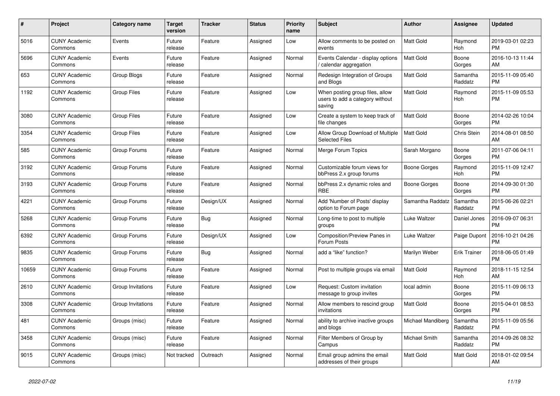| #     | <b>Project</b>                  | Category name      | <b>Target</b><br>version | <b>Tracker</b> | <b>Status</b> | <b>Priority</b><br>name | <b>Subject</b>                                                               | <b>Author</b>     | Assignee            | <b>Updated</b>                |
|-------|---------------------------------|--------------------|--------------------------|----------------|---------------|-------------------------|------------------------------------------------------------------------------|-------------------|---------------------|-------------------------------|
| 5016  | <b>CUNY Academic</b><br>Commons | Events             | Future<br>release        | Feature        | Assigned      | Low                     | Allow comments to be posted on<br>events                                     | <b>Matt Gold</b>  | Raymond<br>Hoh      | 2019-03-01 02:23<br><b>PM</b> |
| 5696  | <b>CUNY Academic</b><br>Commons | Events             | Future<br>release        | Feature        | Assigned      | Normal                  | Events Calendar - display options<br>/ calendar aggregation                  | <b>Matt Gold</b>  | Boone<br>Gorges     | 2016-10-13 11:44<br>AM        |
| 653   | <b>CUNY Academic</b><br>Commons | Group Blogs        | Future<br>release        | Feature        | Assigned      | Normal                  | Redesign Integration of Groups<br>and Blogs                                  | <b>Matt Gold</b>  | Samantha<br>Raddatz | 2015-11-09 05:40<br><b>PM</b> |
| 1192  | <b>CUNY Academic</b><br>Commons | <b>Group Files</b> | Future<br>release        | Feature        | Assigned      | Low                     | When posting group files, allow<br>users to add a category without<br>saving | <b>Matt Gold</b>  | Raymond<br>Hoh      | 2015-11-09 05:53<br><b>PM</b> |
| 3080  | <b>CUNY Academic</b><br>Commons | Group Files        | Future<br>release        | Feature        | Assigned      | Low                     | Create a system to keep track of<br>file changes                             | <b>Matt Gold</b>  | Boone<br>Gorges     | 2014-02-26 10:04<br><b>PM</b> |
| 3354  | <b>CUNY Academic</b><br>Commons | <b>Group Files</b> | Future<br>release        | Feature        | Assigned      | Low                     | Allow Group Download of Multiple<br><b>Selected Files</b>                    | <b>Matt Gold</b>  | Chris Stein         | 2014-08-01 08:50<br>AM        |
| 585   | <b>CUNY Academic</b><br>Commons | Group Forums       | Future<br>release        | Feature        | Assigned      | Normal                  | Merge Forum Topics                                                           | Sarah Morgano     | Boone<br>Gorges     | 2011-07-06 04:11<br><b>PM</b> |
| 3192  | <b>CUNY Academic</b><br>Commons | Group Forums       | Future<br>release        | Feature        | Assigned      | Normal                  | Customizable forum views for<br>bbPress 2.x group forums                     | Boone Gorges      | Raymond<br>Hoh      | 2015-11-09 12:47<br><b>PM</b> |
| 3193  | <b>CUNY Academic</b><br>Commons | Group Forums       | Future<br>release        | Feature        | Assigned      | Normal                  | bbPress 2.x dynamic roles and<br><b>RBE</b>                                  | Boone Gorges      | Boone<br>Gorges     | 2014-09-30 01:30<br><b>PM</b> |
| 4221  | <b>CUNY Academic</b><br>Commons | Group Forums       | Future<br>release        | Design/UX      | Assigned      | Normal                  | Add 'Number of Posts' display<br>option to Forum page                        | Samantha Raddatz  | Samantha<br>Raddatz | 2015-06-26 02:21<br><b>PM</b> |
| 5268  | <b>CUNY Academic</b><br>Commons | Group Forums       | Future<br>release        | Bug            | Assigned      | Normal                  | Long-time to post to multiple<br>groups                                      | Luke Waltzer      | Daniel Jones        | 2016-09-07 06:31<br><b>PM</b> |
| 6392  | <b>CUNY Academic</b><br>Commons | Group Forums       | Future<br>release        | Design/UX      | Assigned      | Low                     | Composition/Preview Panes in<br>Forum Posts                                  | Luke Waltzer      | Paige Dupont        | 2016-10-21 04:26<br><b>PM</b> |
| 9835  | <b>CUNY Academic</b><br>Commons | Group Forums       | Future<br>release        | Bug            | Assigned      | Normal                  | add a "like" function?                                                       | Marilyn Weber     | Erik Trainer        | 2018-06-05 01:49<br><b>PM</b> |
| 10659 | <b>CUNY Academic</b><br>Commons | Group Forums       | Future<br>release        | Feature        | Assigned      | Normal                  | Post to multiple groups via email                                            | <b>Matt Gold</b>  | Raymond<br>Hoh      | 2018-11-15 12:54<br>AM        |
| 2610  | <b>CUNY Academic</b><br>Commons | Group Invitations  | Future<br>release        | Feature        | Assigned      | Low                     | Request: Custom invitation<br>message to group invites                       | local admin       | Boone<br>Gorges     | 2015-11-09 06:13<br><b>PM</b> |
| 3308  | <b>CUNY Academic</b><br>Commons | Group Invitations  | Future<br>release        | Feature        | Assigned      | Normal                  | Allow members to rescind group<br>invitations                                | <b>Matt Gold</b>  | Boone<br>Gorges     | 2015-04-01 08:53<br><b>PM</b> |
| 481   | <b>CUNY Academic</b><br>Commons | Groups (misc)      | Future<br>release        | Feature        | Assigned      | Normal                  | ability to archive inactive groups<br>and blogs                              | Michael Mandiberg | Samantha<br>Raddatz | 2015-11-09 05:56<br><b>PM</b> |
| 3458  | <b>CUNY Academic</b><br>Commons | Groups (misc)      | Future<br>release        | Feature        | Assigned      | Normal                  | Filter Members of Group by<br>Campus                                         | Michael Smith     | Samantha<br>Raddatz | 2014-09-26 08:32<br><b>PM</b> |
| 9015  | <b>CUNY Academic</b><br>Commons | Groups (misc)      | Not tracked              | Outreach       | Assigned      | Normal                  | Email group admins the email<br>addresses of their groups                    | <b>Matt Gold</b>  | Matt Gold           | 2018-01-02 09:54<br>AM        |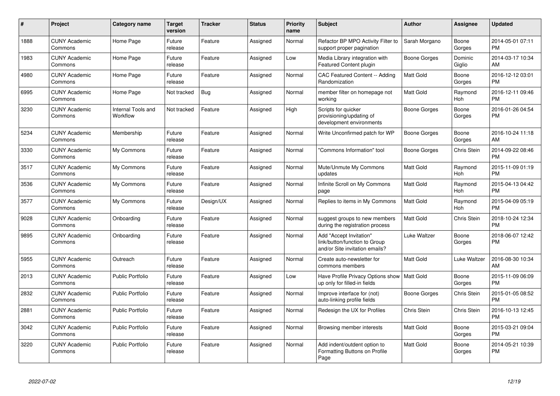| $\#$ | Project                         | <b>Category name</b>           | <b>Target</b><br>version | <b>Tracker</b> | <b>Status</b> | <b>Priority</b><br>name | <b>Subject</b>                                                                             | <b>Author</b>       | Assignee          | <b>Updated</b>                |
|------|---------------------------------|--------------------------------|--------------------------|----------------|---------------|-------------------------|--------------------------------------------------------------------------------------------|---------------------|-------------------|-------------------------------|
| 1888 | <b>CUNY Academic</b><br>Commons | Home Page                      | Future<br>release        | Feature        | Assigned      | Normal                  | Refactor BP MPO Activity Filter to<br>support proper pagination                            | Sarah Morgano       | Boone<br>Gorges   | 2014-05-01 07:11<br><b>PM</b> |
| 1983 | <b>CUNY Academic</b><br>Commons | Home Page                      | Future<br>release        | Feature        | Assigned      | Low                     | Media Library integration with<br><b>Featured Content plugin</b>                           | Boone Gorges        | Dominic<br>Giglio | 2014-03-17 10:34<br>AM        |
| 4980 | <b>CUNY Academic</b><br>Commons | Home Page                      | Future<br>release        | Feature        | Assigned      | Normal                  | <b>CAC Featured Content -- Adding</b><br>Randomization                                     | <b>Matt Gold</b>    | Boone<br>Gorges   | 2016-12-12 03:01<br><b>PM</b> |
| 6995 | <b>CUNY Academic</b><br>Commons | Home Page                      | Not tracked              | <b>Bug</b>     | Assigned      | Normal                  | member filter on homepage not<br>working                                                   | <b>Matt Gold</b>    | Raymond<br>Hoh    | 2016-12-11 09:46<br><b>PM</b> |
| 3230 | <b>CUNY Academic</b><br>Commons | Internal Tools and<br>Workflow | Not tracked              | Feature        | Assigned      | High                    | Scripts for quicker<br>provisioning/updating of<br>development environments                | <b>Boone Gorges</b> | Boone<br>Gorges   | 2016-01-26 04:54<br><b>PM</b> |
| 5234 | <b>CUNY Academic</b><br>Commons | Membership                     | Future<br>release        | Feature        | Assigned      | Normal                  | Write Unconfirmed patch for WP                                                             | Boone Gorges        | Boone<br>Gorges   | 2016-10-24 11:18<br>AM        |
| 3330 | <b>CUNY Academic</b><br>Commons | My Commons                     | Future<br>release        | Feature        | Assigned      | Normal                  | "Commons Information" tool                                                                 | Boone Gorges        | Chris Stein       | 2014-09-22 08:46<br><b>PM</b> |
| 3517 | <b>CUNY Academic</b><br>Commons | My Commons                     | Future<br>release        | Feature        | Assigned      | Normal                  | Mute/Unmute My Commons<br>updates                                                          | <b>Matt Gold</b>    | Raymond<br>Hoh    | 2015-11-09 01:19<br><b>PM</b> |
| 3536 | <b>CUNY Academic</b><br>Commons | My Commons                     | Future<br>release        | Feature        | Assigned      | Normal                  | Infinite Scroll on My Commons<br>page                                                      | Matt Gold           | Raymond<br>Hoh    | 2015-04-13 04:42<br><b>PM</b> |
| 3577 | <b>CUNY Academic</b><br>Commons | My Commons                     | Future<br>release        | Design/UX      | Assigned      | Normal                  | Replies to items in My Commons                                                             | Matt Gold           | Raymond<br>Hoh    | 2015-04-09 05:19<br><b>PM</b> |
| 9028 | <b>CUNY Academic</b><br>Commons | Onboarding                     | Future<br>release        | Feature        | Assigned      | Normal                  | suggest groups to new members<br>during the registration process                           | Matt Gold           | Chris Stein       | 2018-10-24 12:34<br><b>PM</b> |
| 9895 | <b>CUNY Academic</b><br>Commons | Onboarding                     | Future<br>release        | Feature        | Assigned      | Normal                  | Add "Accept Invitation"<br>link/button/function to Group<br>and/or Site invitation emails? | Luke Waltzer        | Boone<br>Gorges   | 2018-06-07 12:42<br><b>PM</b> |
| 5955 | <b>CUNY Academic</b><br>Commons | Outreach                       | Future<br>release        | Feature        | Assigned      | Normal                  | Create auto-newsletter for<br>commons members                                              | Matt Gold           | Luke Waltzer      | 2016-08-30 10:34<br>AM        |
| 2013 | <b>CUNY Academic</b><br>Commons | <b>Public Portfolio</b>        | Future<br>release        | Feature        | Assigned      | Low                     | Have Profile Privacy Options show<br>up only for filled-in fields                          | Matt Gold           | Boone<br>Gorges   | 2015-11-09 06:09<br><b>PM</b> |
| 2832 | <b>CUNY Academic</b><br>Commons | <b>Public Portfolio</b>        | Future<br>release        | Feature        | Assigned      | Normal                  | Improve interface for (not)<br>auto-linking profile fields                                 | Boone Gorges        | Chris Stein       | 2015-01-05 08:52<br><b>PM</b> |
| 2881 | <b>CUNY Academic</b><br>Commons | <b>Public Portfolio</b>        | Future<br>release        | Feature        | Assigned      | Normal                  | Redesign the UX for Profiles                                                               | Chris Stein         | Chris Stein       | 2016-10-13 12:45<br><b>PM</b> |
| 3042 | <b>CUNY Academic</b><br>Commons | <b>Public Portfolio</b>        | Future<br>release        | Feature        | Assigned      | Normal                  | Browsing member interests                                                                  | Matt Gold           | Boone<br>Gorges   | 2015-03-21 09:04<br><b>PM</b> |
| 3220 | <b>CUNY Academic</b><br>Commons | <b>Public Portfolio</b>        | Future<br>release        | Feature        | Assigned      | Normal                  | Add indent/outdent option to<br>Formatting Buttons on Profile<br>Page                      | Matt Gold           | Boone<br>Gorges   | 2014-05-21 10:39<br><b>PM</b> |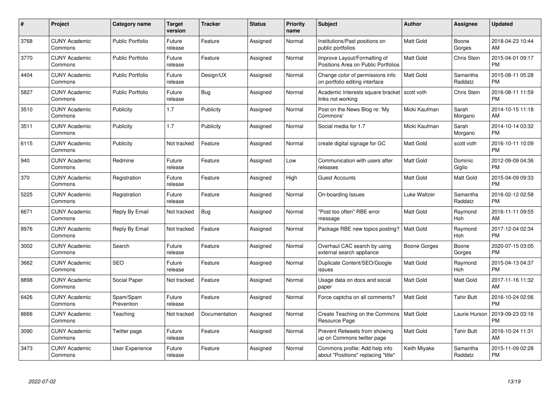| $\#$ | Project                         | <b>Category name</b>    | <b>Target</b><br>version | <b>Tracker</b> | <b>Status</b> | <b>Priority</b><br>name | <b>Subject</b>                                                        | <b>Author</b>    | Assignee            | <b>Updated</b>                |
|------|---------------------------------|-------------------------|--------------------------|----------------|---------------|-------------------------|-----------------------------------------------------------------------|------------------|---------------------|-------------------------------|
| 3768 | <b>CUNY Academic</b><br>Commons | <b>Public Portfolio</b> | Future<br>release        | Feature        | Assigned      | Normal                  | Institutions/Past positions on<br>public portfolios                   | Matt Gold        | Boone<br>Gorges     | 2018-04-23 10:44<br>AM        |
| 3770 | <b>CUNY Academic</b><br>Commons | <b>Public Portfolio</b> | Future<br>release        | Feature        | Assigned      | Normal                  | Improve Layout/Formatting of<br>Positions Area on Public Portfolios   | <b>Matt Gold</b> | <b>Chris Stein</b>  | 2015-04-01 09:17<br><b>PM</b> |
| 4404 | <b>CUNY Academic</b><br>Commons | <b>Public Portfolio</b> | Future<br>release        | Design/UX      | Assigned      | Normal                  | Change color of permissions info<br>on portfolio editing interface    | Matt Gold        | Samantha<br>Raddatz | 2015-08-11 05:28<br><b>PM</b> |
| 5827 | <b>CUNY Academic</b><br>Commons | <b>Public Portfolio</b> | Future<br>release        | Bug            | Assigned      | Normal                  | Academic Interests square bracket<br>links not working                | scott voth       | Chris Stein         | 2016-08-11 11:59<br><b>PM</b> |
| 3510 | <b>CUNY Academic</b><br>Commons | Publicity               | 1.7                      | Publicity      | Assigned      | Normal                  | Post on the News Blog re: 'My<br>Commons'                             | Micki Kaufman    | Sarah<br>Morgano    | 2014-10-15 11:18<br>AM        |
| 3511 | <b>CUNY Academic</b><br>Commons | Publicity               | 1.7                      | Publicity      | Assigned      | Normal                  | Social media for 1.7                                                  | Micki Kaufman    | Sarah<br>Morgano    | 2014-10-14 03:32<br><b>PM</b> |
| 6115 | <b>CUNY Academic</b><br>Commons | Publicity               | Not tracked              | Feature        | Assigned      | Normal                  | create digital signage for GC                                         | Matt Gold        | scott voth          | 2016-10-11 10:09<br><b>PM</b> |
| 940  | <b>CUNY Academic</b><br>Commons | Redmine                 | Future<br>release        | Feature        | Assigned      | Low                     | Communication with users after<br>releases                            | Matt Gold        | Dominic<br>Giglio   | 2012-09-09 04:36<br><b>PM</b> |
| 370  | <b>CUNY Academic</b><br>Commons | Registration            | Future<br>release        | Feature        | Assigned      | High                    | <b>Guest Accounts</b>                                                 | <b>Matt Gold</b> | <b>Matt Gold</b>    | 2015-04-09 09:33<br><b>PM</b> |
| 5225 | <b>CUNY Academic</b><br>Commons | Registration            | Future<br>release        | Feature        | Assigned      | Normal                  | On-boarding Issues                                                    | Luke Waltzer     | Samantha<br>Raddatz | 2016-02-12 02:58<br><b>PM</b> |
| 6671 | <b>CUNY Academic</b><br>Commons | Reply By Email          | Not tracked              | Bug            | Assigned      | Normal                  | "Post too often" RBE error<br>message                                 | Matt Gold        | Raymond<br>Hoh      | 2016-11-11 09:55<br>AM        |
| 8976 | <b>CUNY Academic</b><br>Commons | Reply By Email          | Not tracked              | Feature        | Assigned      | Normal                  | Package RBE new topics posting?                                       | <b>Matt Gold</b> | Raymond<br>Hoh      | 2017-12-04 02:34<br><b>PM</b> |
| 3002 | <b>CUNY Academic</b><br>Commons | Search                  | Future<br>release        | Feature        | Assigned      | Normal                  | Overhaul CAC search by using<br>external search appliance             | Boone Gorges     | Boone<br>Gorges     | 2020-07-15 03:05<br><b>PM</b> |
| 3662 | <b>CUNY Academic</b><br>Commons | <b>SEO</b>              | Future<br>release        | Feature        | Assigned      | Normal                  | Duplicate Content/SEO/Google<br>issues                                | <b>Matt Gold</b> | Raymond<br>Hoh      | 2015-04-13 04:37<br><b>PM</b> |
| 8898 | <b>CUNY Academic</b><br>Commons | Social Paper            | Not tracked              | Feature        | Assigned      | Normal                  | Usage data on docs and social<br>paper                                | Matt Gold        | Matt Gold           | 2017-11-16 11:32<br>AM        |
| 6426 | <b>CUNY Academic</b><br>Commons | Spam/Spam<br>Prevention | Future<br>release        | Feature        | Assigned      | Normal                  | Force captcha on all comments?                                        | Matt Gold        | <b>Tahir Butt</b>   | 2016-10-24 02:06<br><b>PM</b> |
| 8666 | <b>CUNY Academic</b><br>Commons | Teaching                | Not tracked              | Documentation  | Assigned      | Normal                  | Create Teaching on the Commons<br>Resource Page                       | Matt Gold        | Laurie Hurson       | 2019-09-23 03:16<br><b>PM</b> |
| 3090 | <b>CUNY Academic</b><br>Commons | Twitter page            | Future<br>release        | Feature        | Assigned      | Normal                  | Prevent Retweets from showing<br>up on Commons twitter page           | Matt Gold        | <b>Tahir Butt</b>   | 2016-10-24 11:31<br>AM        |
| 3473 | <b>CUNY Academic</b><br>Commons | User Experience         | Future<br>release        | Feature        | Assigned      | Normal                  | Commons profile: Add help info<br>about "Positions" replacing "title" | Keith Miyake     | Samantha<br>Raddatz | 2015-11-09 02:28<br><b>PM</b> |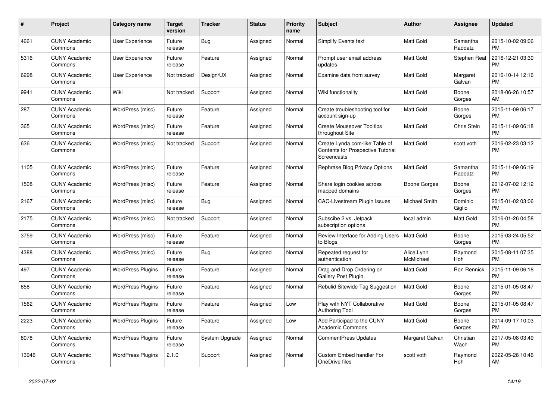| #     | <b>Project</b>                  | Category name            | <b>Target</b><br>version | <b>Tracker</b> | <b>Status</b> | <b>Priority</b><br>name | <b>Subject</b>                                                                            | <b>Author</b>           | Assignee            | <b>Updated</b>                |
|-------|---------------------------------|--------------------------|--------------------------|----------------|---------------|-------------------------|-------------------------------------------------------------------------------------------|-------------------------|---------------------|-------------------------------|
| 4661  | <b>CUNY Academic</b><br>Commons | <b>User Experience</b>   | Future<br>release        | <b>Bug</b>     | Assigned      | Normal                  | <b>Simplify Events text</b>                                                               | <b>Matt Gold</b>        | Samantha<br>Raddatz | 2015-10-02 09:06<br><b>PM</b> |
| 5316  | <b>CUNY Academic</b><br>Commons | <b>User Experience</b>   | Future<br>release        | Feature        | Assigned      | Normal                  | Prompt user email address<br>updates                                                      | Matt Gold               | Stephen Real        | 2016-12-21 03:30<br><b>PM</b> |
| 6298  | <b>CUNY Academic</b><br>Commons | User Experience          | Not tracked              | Design/UX      | Assigned      | Normal                  | Examine data from survey                                                                  | <b>Matt Gold</b>        | Margaret<br>Galvan  | 2016-10-14 12:16<br><b>PM</b> |
| 9941  | <b>CUNY Academic</b><br>Commons | Wiki                     | Not tracked              | Support        | Assigned      | Normal                  | Wiki functionality                                                                        | Matt Gold               | Boone<br>Gorges     | 2018-06-26 10:57<br>AM        |
| 287   | <b>CUNY Academic</b><br>Commons | WordPress (misc)         | Future<br>release        | Feature        | Assigned      | Normal                  | Create troubleshooting tool for<br>account sign-up                                        | Matt Gold               | Boone<br>Gorges     | 2015-11-09 06:17<br><b>PM</b> |
| 365   | <b>CUNY Academic</b><br>Commons | WordPress (misc)         | Future<br>release        | Feature        | Assigned      | Normal                  | <b>Create Mouseover Tooltips</b><br>throughout Site                                       | Matt Gold               | Chris Stein         | 2015-11-09 06:18<br><b>PM</b> |
| 636   | <b>CUNY Academic</b><br>Commons | WordPress (misc)         | Not tracked              | Support        | Assigned      | Normal                  | Create Lynda.com-like Table of<br><b>Contents for Prospective Tutorial</b><br>Screencasts | <b>Matt Gold</b>        | scott voth          | 2016-02-23 03:12<br><b>PM</b> |
| 1105  | <b>CUNY Academic</b><br>Commons | WordPress (misc)         | Future<br>release        | Feature        | Assigned      | Normal                  | Rephrase Blog Privacy Options                                                             | Matt Gold               | Samantha<br>Raddatz | 2015-11-09 06:19<br><b>PM</b> |
| 1508  | <b>CUNY Academic</b><br>Commons | WordPress (misc)         | Future<br>release        | Feature        | Assigned      | Normal                  | Share login cookies across<br>mapped domains                                              | <b>Boone Gorges</b>     | Boone<br>Gorges     | 2012-07-02 12:12<br><b>PM</b> |
| 2167  | <b>CUNY Academic</b><br>Commons | WordPress (misc)         | Future<br>release        | <b>Bug</b>     | Assigned      | Normal                  | <b>CAC-Livestream Plugin Issues</b>                                                       | Michael Smith           | Dominic<br>Giglio   | 2015-01-02 03:06<br><b>PM</b> |
| 2175  | <b>CUNY Academic</b><br>Commons | WordPress (misc)         | Not tracked              | Support        | Assigned      | Normal                  | Subscibe 2 vs. Jetpack<br>subscription options                                            | local admin             | Matt Gold           | 2016-01-26 04:58<br><b>PM</b> |
| 3759  | <b>CUNY Academic</b><br>Commons | WordPress (misc)         | Future<br>release        | Feature        | Assigned      | Normal                  | Review Interface for Adding Users<br>to Blogs                                             | Matt Gold               | Boone<br>Gorges     | 2015-03-24 05:52<br><b>PM</b> |
| 4388  | <b>CUNY Academic</b><br>Commons | WordPress (misc)         | Future<br>release        | Bug            | Assigned      | Normal                  | Repeated request for<br>authentication.                                                   | Alice.Lynn<br>McMichael | Raymond<br>Hoh      | 2015-08-11 07:35<br><b>PM</b> |
| 497   | <b>CUNY Academic</b><br>Commons | <b>WordPress Plugins</b> | Future<br>release        | Feature        | Assigned      | Normal                  | Drag and Drop Ordering on<br>Gallery Post Plugin                                          | Matt Gold               | Ron Rennick         | 2015-11-09 06:18<br><b>PM</b> |
| 658   | <b>CUNY Academic</b><br>Commons | <b>WordPress Plugins</b> | Future<br>release        | Feature        | Assigned      | Normal                  | Rebulid Sitewide Tag Suggestion                                                           | <b>Matt Gold</b>        | Boone<br>Gorges     | 2015-01-05 08:47<br><b>PM</b> |
| 1562  | <b>CUNY Academic</b><br>Commons | <b>WordPress Plugins</b> | Future<br>release        | Feature        | Assigned      | Low                     | Play with NYT Collaborative<br>Authoring Tool                                             | <b>Matt Gold</b>        | Boone<br>Gorges     | 2015-01-05 08:47<br><b>PM</b> |
| 2223  | <b>CUNY Academic</b><br>Commons | <b>WordPress Plugins</b> | Future<br>release        | Feature        | Assigned      | Low                     | Add Participad to the CUNY<br><b>Academic Commons</b>                                     | Matt Gold               | Boone<br>Gorges     | 2014-09-17 10:03<br><b>PM</b> |
| 8078  | <b>CUNY Academic</b><br>Commons | <b>WordPress Plugins</b> | Future<br>release        | System Upgrade | Assigned      | Normal                  | <b>CommentPress Updates</b>                                                               | Margaret Galvan         | Christian<br>Wach   | 2017-05-08 03:49<br><b>PM</b> |
| 13946 | <b>CUNY Academic</b><br>Commons | <b>WordPress Plugins</b> | 2.1.0                    | Support        | Assigned      | Normal                  | <b>Custom Embed handler For</b><br>OneDrive files                                         | scott voth              | Raymond<br>Hoh      | 2022-05-26 10:46<br>AM        |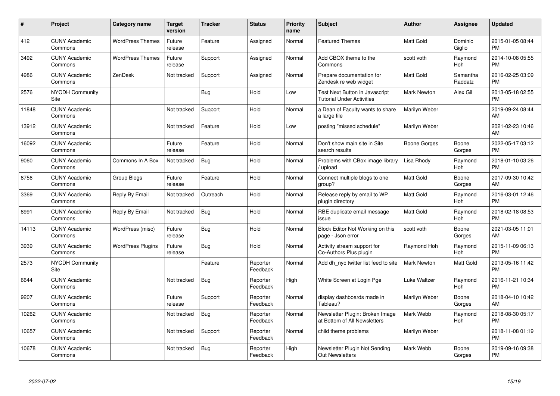| $\pmb{\#}$ | Project                         | <b>Category name</b>     | <b>Target</b><br>version | <b>Tracker</b> | <b>Status</b>        | <b>Priority</b><br>name | <b>Subject</b>                                                     | <b>Author</b>      | <b>Assignee</b>     | <b>Updated</b>                |
|------------|---------------------------------|--------------------------|--------------------------|----------------|----------------------|-------------------------|--------------------------------------------------------------------|--------------------|---------------------|-------------------------------|
| 412        | <b>CUNY Academic</b><br>Commons | <b>WordPress Themes</b>  | Future<br>release        | Feature        | Assigned             | Normal                  | <b>Featured Themes</b>                                             | <b>Matt Gold</b>   | Dominic<br>Giglio   | 2015-01-05 08:44<br><b>PM</b> |
| 3492       | <b>CUNY Academic</b><br>Commons | <b>WordPress Themes</b>  | Future<br>release        | Support        | Assigned             | Normal                  | Add CBOX theme to the<br>Commons                                   | scott voth         | Raymond<br>Hoh      | 2014-10-08 05:55<br><b>PM</b> |
| 4986       | <b>CUNY Academic</b><br>Commons | ZenDesk                  | Not tracked              | Support        | Assigned             | Normal                  | Prepare documentation for<br>Zendesk re web widget                 | <b>Matt Gold</b>   | Samantha<br>Raddatz | 2016-02-25 03:09<br><b>PM</b> |
| 2576       | <b>NYCDH Community</b><br>Site  |                          |                          | Bug            | Hold                 | Low                     | Test Next Button in Javascript<br><b>Tutorial Under Activities</b> | Mark Newton        | Alex Gil            | 2013-05-18 02:55<br><b>PM</b> |
| 11848      | <b>CUNY Academic</b><br>Commons |                          | Not tracked              | Support        | Hold                 | Normal                  | a Dean of Faculty wants to share<br>a large file                   | Marilyn Weber      |                     | 2019-09-24 08:44<br>AM        |
| 13912      | <b>CUNY Academic</b><br>Commons |                          | Not tracked              | Feature        | Hold                 | Low                     | posting "missed schedule"                                          | Marilyn Weber      |                     | 2021-02-23 10:46<br>AM        |
| 16092      | <b>CUNY Academic</b><br>Commons |                          | Future<br>release        | Feature        | Hold                 | Normal                  | Don't show main site in Site<br>search results                     | Boone Gorges       | Boone<br>Gorges     | 2022-05-17 03:12<br><b>PM</b> |
| 9060       | <b>CUNY Academic</b><br>Commons | Commons In A Box         | Not tracked              | Bug            | Hold                 | Normal                  | Problems with CBox image library<br>upload                         | Lisa Rhody         | Raymond<br>Hoh      | 2018-01-10 03:26<br><b>PM</b> |
| 8756       | <b>CUNY Academic</b><br>Commons | Group Blogs              | Future<br>release        | Feature        | Hold                 | Normal                  | Connect multiple blogs to one<br>group?                            | <b>Matt Gold</b>   | Boone<br>Gorges     | 2017-09-30 10:42<br>AM        |
| 3369       | <b>CUNY Academic</b><br>Commons | Reply By Email           | Not tracked              | Outreach       | Hold                 | Normal                  | Release reply by email to WP<br>plugin directory                   | Matt Gold          | Raymond<br>Hoh      | 2016-03-01 12:46<br><b>PM</b> |
| 8991       | <b>CUNY Academic</b><br>Commons | Reply By Email           | Not tracked              | <b>Bug</b>     | Hold                 | Normal                  | RBE duplicate email message<br>issue                               | <b>Matt Gold</b>   | Raymond<br>Hoh      | 2018-02-18 08:53<br><b>PM</b> |
| 14113      | <b>CUNY Academic</b><br>Commons | WordPress (misc)         | Future<br>release        | Bug            | Hold                 | Normal                  | Block Editor Not Working on this<br>page - Json error              | scott voth         | Boone<br>Gorges     | 2021-03-05 11:01<br>AM        |
| 3939       | <b>CUNY Academic</b><br>Commons | <b>WordPress Plugins</b> | Future<br>release        | Bug            | Hold                 | Normal                  | Activity stream support for<br>Co-Authors Plus plugin              | Raymond Hoh        | Raymond<br>Hoh      | 2015-11-09 06:13<br><b>PM</b> |
| 2573       | <b>NYCDH Community</b><br>Site  |                          |                          | Feature        | Reporter<br>Feedback | Normal                  | Add dh_nyc twitter list feed to site                               | <b>Mark Newton</b> | Matt Gold           | 2013-05-16 11:42<br><b>PM</b> |
| 6644       | <b>CUNY Academic</b><br>Commons |                          | Not tracked              | Bug            | Reporter<br>Feedback | High                    | White Screen at Login Pge                                          | Luke Waltzer       | Raymond<br>Hoh      | 2016-11-21 10:34<br><b>PM</b> |
| 9207       | <b>CUNY Academic</b><br>Commons |                          | Future<br>release        | Support        | Reporter<br>Feedback | Normal                  | display dashboards made in<br>Tableau?                             | Marilyn Weber      | Boone<br>Gorges     | 2018-04-10 10:42<br>AM        |
| 10262      | <b>CUNY Academic</b><br>Commons |                          | Not tracked              | <b>Bug</b>     | Reporter<br>Feedback | Normal                  | Newsletter Plugin: Broken Image<br>at Bottom of All Newsletters    | Mark Webb          | Raymond<br>Hoh      | 2018-08-30 05:17<br><b>PM</b> |
| 10657      | <b>CUNY Academic</b><br>Commons |                          | Not tracked              | Support        | Reporter<br>Feedback | Normal                  | child theme problems                                               | Marilyn Weber      |                     | 2018-11-08 01:19<br><b>PM</b> |
| 10678      | <b>CUNY Academic</b><br>Commons |                          | Not tracked              | <b>Bug</b>     | Reporter<br>Feedback | High                    | Newsletter Plugin Not Sending<br><b>Out Newsletters</b>            | Mark Webb          | Boone<br>Gorges     | 2019-09-16 09:38<br><b>PM</b> |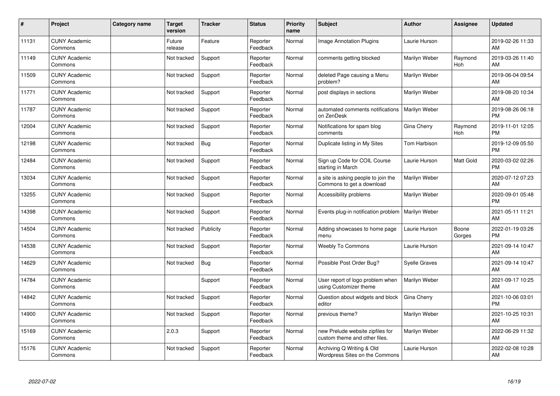| #     | Project                         | Category name | <b>Target</b><br>version | <b>Tracker</b> | <b>Status</b>        | <b>Priority</b><br>name | <b>Subject</b>                                                    | <b>Author</b>        | Assignee        | <b>Updated</b>                |
|-------|---------------------------------|---------------|--------------------------|----------------|----------------------|-------------------------|-------------------------------------------------------------------|----------------------|-----------------|-------------------------------|
| 11131 | <b>CUNY Academic</b><br>Commons |               | Future<br>release        | Feature        | Reporter<br>Feedback | Normal                  | <b>Image Annotation Plugins</b>                                   | Laurie Hurson        |                 | 2019-02-26 11:33<br>AM        |
| 11149 | <b>CUNY Academic</b><br>Commons |               | Not tracked              | Support        | Reporter<br>Feedback | Normal                  | comments getting blocked                                          | Marilyn Weber        | Raymond<br>Hoh  | 2019-03-26 11:40<br>AM        |
| 11509 | <b>CUNY Academic</b><br>Commons |               | Not tracked              | Support        | Reporter<br>Feedback | Normal                  | deleted Page causing a Menu<br>problem?                           | Marilyn Weber        |                 | 2019-06-04 09:54<br>AM        |
| 11771 | <b>CUNY Academic</b><br>Commons |               | Not tracked              | Support        | Reporter<br>Feedback | Normal                  | post displays in sections                                         | Marilyn Weber        |                 | 2019-08-20 10:34<br>AM        |
| 11787 | <b>CUNY Academic</b><br>Commons |               | Not tracked              | Support        | Reporter<br>Feedback | Normal                  | automated comments notifications<br>on ZenDesk                    | Marilyn Weber        |                 | 2019-08-26 06:18<br><b>PM</b> |
| 12004 | <b>CUNY Academic</b><br>Commons |               | Not tracked              | Support        | Reporter<br>Feedback | Normal                  | Notifications for spam blog<br>comments                           | Gina Cherry          | Raymond<br>Hoh  | 2019-11-01 12:05<br><b>PM</b> |
| 12198 | <b>CUNY Academic</b><br>Commons |               | Not tracked              | Bug            | Reporter<br>Feedback | Normal                  | Duplicate listing in My Sites                                     | <b>Tom Harbison</b>  |                 | 2019-12-09 05:50<br><b>PM</b> |
| 12484 | <b>CUNY Academic</b><br>Commons |               | Not tracked              | Support        | Reporter<br>Feedback | Normal                  | Sign up Code for COIL Course<br>starting in March                 | Laurie Hurson        | Matt Gold       | 2020-03-02 02:26<br><b>PM</b> |
| 13034 | <b>CUNY Academic</b><br>Commons |               | Not tracked              | Support        | Reporter<br>Feedback | Normal                  | a site is asking people to join the<br>Commons to get a download  | Marilyn Weber        |                 | 2020-07-12 07:23<br>AM        |
| 13255 | <b>CUNY Academic</b><br>Commons |               | Not tracked              | Support        | Reporter<br>Feedback | Normal                  | Accessibility problems                                            | Marilyn Weber        |                 | 2020-09-01 05:48<br><b>PM</b> |
| 14398 | <b>CUNY Academic</b><br>Commons |               | Not tracked              | Support        | Reporter<br>Feedback | Normal                  | Events plug-in notification problem                               | Marilyn Weber        |                 | 2021-05-11 11:21<br>AM        |
| 14504 | <b>CUNY Academic</b><br>Commons |               | Not tracked              | Publicity      | Reporter<br>Feedback | Normal                  | Adding showcases to home page<br>menu                             | Laurie Hurson        | Boone<br>Gorges | 2022-01-19 03:26<br><b>PM</b> |
| 14538 | <b>CUNY Academic</b><br>Commons |               | Not tracked              | Support        | Reporter<br>Feedback | Normal                  | <b>Weebly To Commons</b>                                          | Laurie Hurson        |                 | 2021-09-14 10:47<br>AM        |
| 14629 | <b>CUNY Academic</b><br>Commons |               | Not tracked              | Bug            | Reporter<br>Feedback | Normal                  | Possible Post Order Bug?                                          | <b>Syelle Graves</b> |                 | 2021-09-14 10:47<br>AM        |
| 14784 | <b>CUNY Academic</b><br>Commons |               |                          | Support        | Reporter<br>Feedback | Normal                  | User report of logo problem when<br>using Customizer theme        | Marilyn Weber        |                 | 2021-09-17 10:25<br>AM        |
| 14842 | <b>CUNY Academic</b><br>Commons |               | Not tracked              | Support        | Reporter<br>Feedback | Normal                  | Question about widgets and block<br>editor                        | Gina Cherry          |                 | 2021-10-06 03:01<br><b>PM</b> |
| 14900 | <b>CUNY Academic</b><br>Commons |               | Not tracked              | Support        | Reporter<br>Feedback | Normal                  | previous theme?                                                   | Marilyn Weber        |                 | 2021-10-25 10:31<br>AM        |
| 15169 | <b>CUNY Academic</b><br>Commons |               | 2.0.3                    | Support        | Reporter<br>Feedback | Normal                  | new Prelude website zipfiles for<br>custom theme and other files. | Marilyn Weber        |                 | 2022-06-29 11:32<br>AM        |
| 15176 | <b>CUNY Academic</b><br>Commons |               | Not tracked              | Support        | Reporter<br>Feedback | Normal                  | Archiving Q Writing & Old<br>Wordpress Sites on the Commons       | Laurie Hurson        |                 | 2022-02-08 10:28<br>AM        |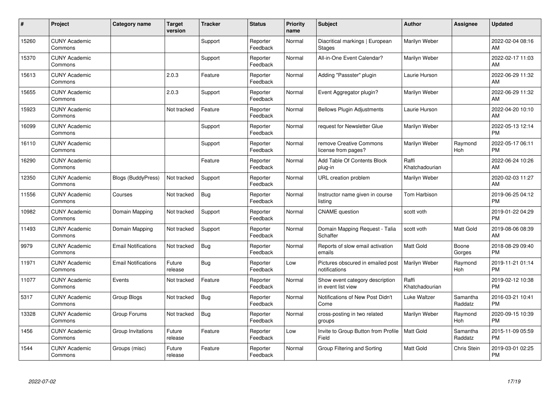| #     | Project                         | <b>Category name</b>       | <b>Target</b><br>version | <b>Tracker</b> | <b>Status</b>        | <b>Priority</b><br>name | <b>Subject</b>                                        | <b>Author</b>           | <b>Assignee</b>     | <b>Updated</b>                |
|-------|---------------------------------|----------------------------|--------------------------|----------------|----------------------|-------------------------|-------------------------------------------------------|-------------------------|---------------------|-------------------------------|
| 15260 | <b>CUNY Academic</b><br>Commons |                            |                          | Support        | Reporter<br>Feedback | Normal                  | Diacritical markings   European<br><b>Stages</b>      | Marilyn Weber           |                     | 2022-02-04 08:16<br>AM        |
| 15370 | <b>CUNY Academic</b><br>Commons |                            |                          | Support        | Reporter<br>Feedback | Normal                  | All-in-One Event Calendar?                            | Marilyn Weber           |                     | 2022-02-17 11:03<br>AM        |
| 15613 | <b>CUNY Academic</b><br>Commons |                            | 2.0.3                    | Feature        | Reporter<br>Feedback | Normal                  | Adding "Passster" plugin                              | Laurie Hurson           |                     | 2022-06-29 11:32<br>AM        |
| 15655 | <b>CUNY Academic</b><br>Commons |                            | 2.0.3                    | Support        | Reporter<br>Feedback | Normal                  | Event Aggregator plugin?                              | Marilyn Weber           |                     | 2022-06-29 11:32<br>AM        |
| 15923 | <b>CUNY Academic</b><br>Commons |                            | Not tracked              | Feature        | Reporter<br>Feedback | Normal                  | <b>Bellows Plugin Adjustments</b>                     | Laurie Hurson           |                     | 2022-04-20 10:10<br>AM        |
| 16099 | <b>CUNY Academic</b><br>Commons |                            |                          | Support        | Reporter<br>Feedback | Normal                  | request for Newsletter Glue                           | Marilyn Weber           |                     | 2022-05-13 12:14<br><b>PM</b> |
| 16110 | <b>CUNY Academic</b><br>Commons |                            |                          | Support        | Reporter<br>Feedback | Normal                  | remove Creative Commons<br>license from pages?        | Marilyn Weber           | Raymond<br>Hoh      | 2022-05-17 06:11<br><b>PM</b> |
| 16290 | <b>CUNY Academic</b><br>Commons |                            |                          | Feature        | Reporter<br>Feedback | Normal                  | Add Table Of Contents Block<br>plug-in                | Raffi<br>Khatchadourian |                     | 2022-06-24 10:26<br><b>AM</b> |
| 12350 | <b>CUNY Academic</b><br>Commons | <b>Blogs (BuddyPress)</b>  | Not tracked              | Support        | Reporter<br>Feedback | Normal                  | URL creation problem                                  | Marilyn Weber           |                     | 2020-02-03 11:27<br>AM        |
| 11556 | <b>CUNY Academic</b><br>Commons | Courses                    | Not tracked              | Bug            | Reporter<br>Feedback | Normal                  | Instructor name given in course<br>listing            | Tom Harbison            |                     | 2019-06-25 04:12<br><b>PM</b> |
| 10982 | <b>CUNY Academic</b><br>Commons | Domain Mapping             | Not tracked              | Support        | Reporter<br>Feedback | Normal                  | <b>CNAME</b> question                                 | scott voth              |                     | 2019-01-22 04:29<br><b>PM</b> |
| 11493 | <b>CUNY Academic</b><br>Commons | Domain Mapping             | Not tracked              | Support        | Reporter<br>Feedback | Normal                  | Domain Mapping Request - Talia<br>Schaffer            | scott voth              | Matt Gold           | 2019-08-06 08:39<br>AM        |
| 9979  | <b>CUNY Academic</b><br>Commons | <b>Email Notifications</b> | Not tracked              | Bug            | Reporter<br>Feedback | Normal                  | Reports of slow email activation<br>emails            | <b>Matt Gold</b>        | Boone<br>Gorges     | 2018-08-29 09:40<br><b>PM</b> |
| 11971 | <b>CUNY Academic</b><br>Commons | <b>Email Notifications</b> | Future<br>release        | Bug            | Reporter<br>Feedback | Low                     | Pictures obscured in emailed post<br>notifications    | Marilyn Weber           | Raymond<br>Hoh      | 2019-11-21 01:14<br><b>PM</b> |
| 11077 | <b>CUNY Academic</b><br>Commons | Events                     | Not tracked              | Feature        | Reporter<br>Feedback | Normal                  | Show event category description<br>in event list view | Raffi<br>Khatchadourian |                     | 2019-02-12 10:38<br><b>PM</b> |
| 5317  | <b>CUNY Academic</b><br>Commons | Group Blogs                | Not tracked              | Bug            | Reporter<br>Feedback | Normal                  | Notifications of New Post Didn't<br>Come              | Luke Waltzer            | Samantha<br>Raddatz | 2016-03-21 10:41<br><b>PM</b> |
| 13328 | <b>CUNY Academic</b><br>Commons | Group Forums               | Not tracked              | Bug            | Reporter<br>Feedback | Normal                  | cross-posting in two related<br>groups                | Marilyn Weber           | Raymond<br>Hoh      | 2020-09-15 10:39<br><b>PM</b> |
| 1456  | <b>CUNY Academic</b><br>Commons | Group Invitations          | Future<br>release        | Feature        | Reporter<br>Feedback | Low                     | Invite to Group Button from Profile<br>Field          | <b>Matt Gold</b>        | Samantha<br>Raddatz | 2015-11-09 05:59<br><b>PM</b> |
| 1544  | <b>CUNY Academic</b><br>Commons | Groups (misc)              | Future<br>release        | Feature        | Reporter<br>Feedback | Normal                  | Group Filtering and Sorting                           | <b>Matt Gold</b>        | Chris Stein         | 2019-03-01 02:25<br><b>PM</b> |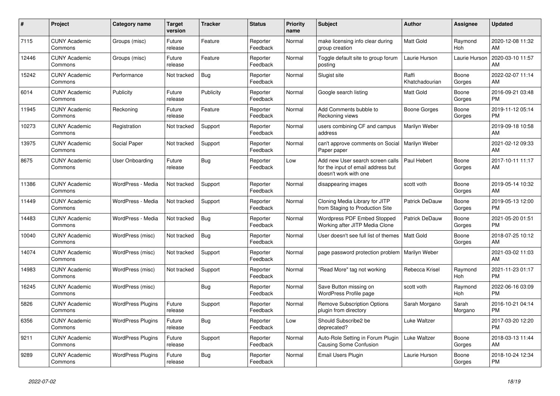| #     | Project                         | <b>Category name</b>     | Target<br>version | <b>Tracker</b> | <b>Status</b>        | Priority<br>name | <b>Subject</b>                                                                                  | <b>Author</b>           | Assignee         | <b>Updated</b>                |
|-------|---------------------------------|--------------------------|-------------------|----------------|----------------------|------------------|-------------------------------------------------------------------------------------------------|-------------------------|------------------|-------------------------------|
| 7115  | <b>CUNY Academic</b><br>Commons | Groups (misc)            | Future<br>release | Feature        | Reporter<br>Feedback | Normal           | make licensing info clear during<br>group creation                                              | <b>Matt Gold</b>        | Raymond<br>Hoh   | 2020-12-08 11:32<br>AM.       |
| 12446 | <b>CUNY Academic</b><br>Commons | Groups (misc)            | Future<br>release | Feature        | Reporter<br>Feedback | Normal           | Toggle default site to group forum<br>posting                                                   | Laurie Hurson           | Laurie Hurson    | 2020-03-10 11:57<br>AM.       |
| 15242 | <b>CUNY Academic</b><br>Commons | Performance              | Not tracked       | <b>Bug</b>     | Reporter<br>Feedback | Normal           | Slugist site                                                                                    | Raffi<br>Khatchadourian | Boone<br>Gorges  | 2022-02-07 11:14<br><b>AM</b> |
| 6014  | <b>CUNY Academic</b><br>Commons | Publicity                | Future<br>release | Publicity      | Reporter<br>Feedback | Normal           | Google search listing                                                                           | Matt Gold               | Boone<br>Gorges  | 2016-09-21 03:48<br><b>PM</b> |
| 11945 | <b>CUNY Academic</b><br>Commons | Reckoning                | Future<br>release | Feature        | Reporter<br>Feedback | Normal           | Add Comments bubble to<br>Reckoning views                                                       | Boone Gorges            | Boone<br>Gorges  | 2019-11-12 05:14<br>PM.       |
| 10273 | <b>CUNY Academic</b><br>Commons | Registration             | Not tracked       | Support        | Reporter<br>Feedback | Normal           | users combining CF and campus<br>address                                                        | Marilyn Weber           |                  | 2019-09-18 10:58<br>AM        |
| 13975 | <b>CUNY Academic</b><br>Commons | Social Paper             | Not tracked       | Support        | Reporter<br>Feedback | Normal           | can't approve comments on Social<br>Paper paper                                                 | Marilyn Weber           |                  | 2021-02-12 09:33<br>AM        |
| 8675  | <b>CUNY Academic</b><br>Commons | User Onboarding          | Future<br>release | Bug            | Reporter<br>Feedback | Low              | Add new User search screen calls<br>for the input of email address but<br>doesn't work with one | Paul Hebert             | Boone<br>Gorges  | 2017-10-11 11:17<br>AM        |
| 11386 | <b>CUNY Academic</b><br>Commons | WordPress - Media        | Not tracked       | Support        | Reporter<br>Feedback | Normal           | disappearing images                                                                             | scott voth              | Boone<br>Gorges  | 2019-05-14 10:32<br>AM        |
| 11449 | <b>CUNY Academic</b><br>Commons | WordPress - Media        | Not tracked       | Support        | Reporter<br>Feedback | Normal           | Cloning Media Library for JITP<br>from Staging to Production Site                               | Patrick DeDauw          | Boone<br>Gorges  | 2019-05-13 12:00<br><b>PM</b> |
| 14483 | <b>CUNY Academic</b><br>Commons | WordPress - Media        | Not tracked       | Bug            | Reporter<br>Feedback | Normal           | <b>Wordpress PDF Embed Stopped</b><br>Working after JITP Media Clone                            | Patrick DeDauw          | Boone<br>Gorges  | 2021-05-20 01:51<br><b>PM</b> |
| 10040 | <b>CUNY Academic</b><br>Commons | WordPress (misc)         | Not tracked       | Bug            | Reporter<br>Feedback | Normal           | User doesn't see full list of themes                                                            | <b>Matt Gold</b>        | Boone<br>Gorges  | 2018-07-25 10:12<br>AM.       |
| 14074 | <b>CUNY Academic</b><br>Commons | WordPress (misc)         | Not tracked       | Support        | Reporter<br>Feedback | Normal           | page password protection problem                                                                | Marilyn Weber           |                  | 2021-03-02 11:03<br>AM.       |
| 14983 | <b>CUNY Academic</b><br>Commons | WordPress (misc)         | Not tracked       | Support        | Reporter<br>Feedback | Normal           | "Read More" tag not working                                                                     | Rebecca Krisel          | Raymond<br>Hoh   | 2021-11-23 01:17<br><b>PM</b> |
| 16245 | <b>CUNY Academic</b><br>Commons | WordPress (misc)         |                   | Bug            | Reporter<br>Feedback | Normal           | Save Button missing on<br><b>WordPress Profile page</b>                                         | scott voth              | Raymond<br>Hoh   | 2022-06-16 03:09<br><b>PM</b> |
| 5826  | <b>CUNY Academic</b><br>Commons | <b>WordPress Plugins</b> | Future<br>release | Support        | Reporter<br>Feedback | Normal           | <b>Remove Subscription Options</b><br>plugin from directory                                     | Sarah Morgano           | Sarah<br>Morgano | 2016-10-21 04:14<br><b>PM</b> |
| 6356  | <b>CUNY Academic</b><br>Commons | <b>WordPress Plugins</b> | Future<br>release | <b>Bug</b>     | Reporter<br>Feedback | Low              | Should Subscribe2 be<br>deprecated?                                                             | Luke Waltzer            |                  | 2017-03-20 12:20<br><b>PM</b> |
| 9211  | <b>CUNY Academic</b><br>Commons | <b>WordPress Plugins</b> | Future<br>release | Support        | Reporter<br>Feedback | Normal           | Auto-Role Setting in Forum Plugin<br>Causing Some Confusion                                     | Luke Waltzer            | Boone<br>Gorges  | 2018-03-13 11:44<br>AM.       |
| 9289  | <b>CUNY Academic</b><br>Commons | <b>WordPress Plugins</b> | Future<br>release | Bug            | Reporter<br>Feedback | Normal           | Email Users Plugin                                                                              | Laurie Hurson           | Boone<br>Gorges  | 2018-10-24 12:34<br><b>PM</b> |